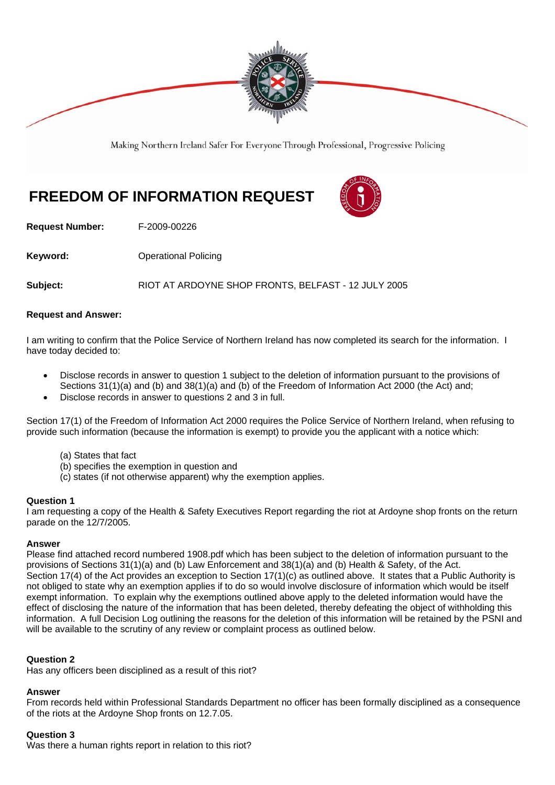

Making Northern Ireland Safer For Everyone Through Professional, Progressive Policing

# **FREEDOM OF INFORMATION REQUEST**



**Request Number:** F-2009-00226

**Keyword: Conservery Operational Policing** 

**Subject:** RIOT AT ARDOYNE SHOP FRONTS, BELFAST - 12 JULY 2005

#### **Request and Answer:**

I am writing to confirm that the Police Service of Northern Ireland has now completed its search for the information. I have today decided to:

- Disclose records in answer to question 1 subject to the deletion of information pursuant to the provisions of Sections 31(1)(a) and (b) and 38(1)(a) and (b) of the Freedom of Information Act 2000 (the Act) and;
- Disclose records in answer to questions 2 and 3 in full.

Section 17(1) of the Freedom of Information Act 2000 requires the Police Service of Northern Ireland, when refusing to provide such information (because the information is exempt) to provide you the applicant with a notice which:

- (a) States that fact
- (b) specifies the exemption in question and
- (c) states (if not otherwise apparent) why the exemption applies.

#### **Question 1**

I am requesting a copy of the Health & Safety Executives Report regarding the riot at Ardoyne shop fronts on the return parade on the 12/7/2005.

#### **Answer**

Please find attached record numbered 1908.pdf which has been subject to the deletion of information pursuant to the provisions of Sections 31(1)(a) and (b) Law Enforcement and 38(1)(a) and (b) Health & Safety, of the Act. Section 17(4) of the Act provides an exception to Section 17(1)(c) as outlined above. It states that a Public Authority is not obliged to state why an exemption applies if to do so would involve disclosure of information which would be itself exempt information. To explain why the exemptions outlined above apply to the deleted information would have the effect of disclosing the nature of the information that has been deleted, thereby defeating the object of withholding this information. A full Decision Log outlining the reasons for the deletion of this information will be retained by the PSNI and will be available to the scrutiny of any review or complaint process as outlined below.

#### **Question 2**

Has any officers been disciplined as a result of this riot?

#### **Answer**

From records held within Professional Standards Department no officer has been formally disciplined as a consequence of the riots at the Ardoyne Shop fronts on 12.7.05.

#### **Question 3**

Was there a human rights report in relation to this riot?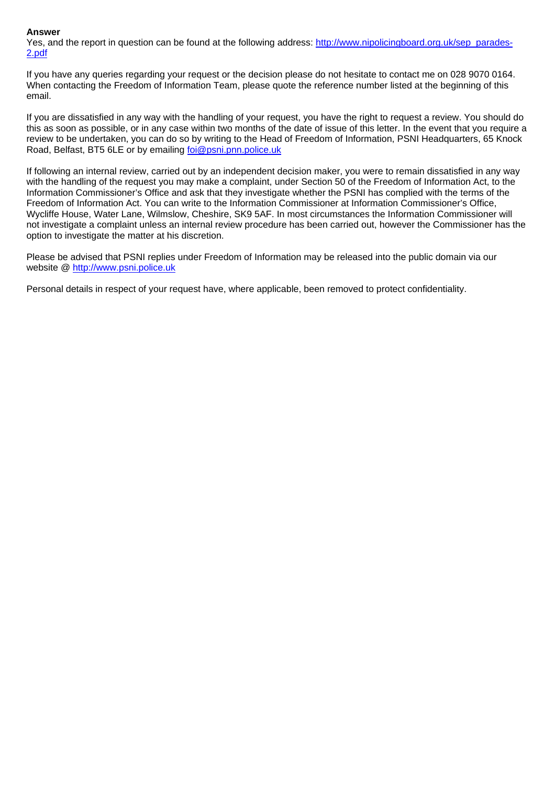#### **Answer**

Yes, and the report in question can be found at the following address: http://www.nipolicingboard.org.uk/sep\_parades-2.pdf

If you have any queries regarding your request or the decision please do not hesitate to contact me on 028 9070 0164. When contacting the Freedom of Information Team, please quote the reference number listed at the beginning of this email.

If you are dissatisfied in any way with the handling of your request, you have the right to request a review. You should do this as soon as possible, or in any case within two months of the date of issue of this letter. In the event that you require a review to be undertaken, you can do so by writing to the Head of Freedom of Information, PSNI Headquarters, 65 Knock Road, Belfast, BT5 6LE or by emailing foi@psni.pnn.police.uk

If following an internal review, carried out by an independent decision maker, you were to remain dissatisfied in any way with the handling of the request you may make a complaint, under Section 50 of the Freedom of Information Act, to the Information Commissioner's Office and ask that they investigate whether the PSNI has complied with the terms of the Freedom of Information Act. You can write to the Information Commissioner at Information Commissioner's Office, Wycliffe House, Water Lane, Wilmslow, Cheshire, SK9 5AF. In most circumstances the Information Commissioner will not investigate a complaint unless an internal review procedure has been carried out, however the Commissioner has the option to investigate the matter at his discretion.

Please be advised that PSNI replies under Freedom of Information may be released into the public domain via our website @ http://www.psni.police.uk

Personal details in respect of your request have, where applicable, been removed to protect confidentiality.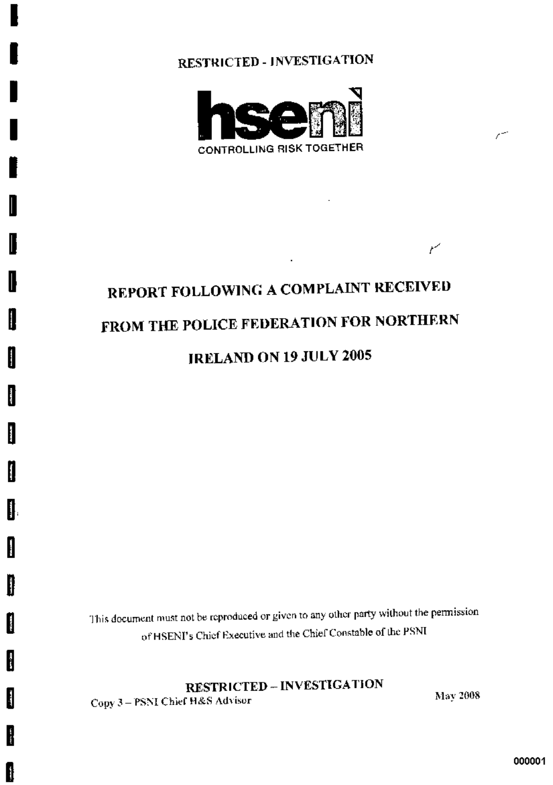

# REPORT FOLLOWING A COMPLAINT RECEIVED FROM THE POLICE FEDERATION FOR NORTHERN **JRELAND ON 19 JULY 2005**

This document must not be reproduced or given to any other party without the permission of HSENI's Chief Executive and the Chief Constable of the PSNI

**RESTRICTED - INVESTIGATION** 

Copy 3-PSNI Chief H&S Advisor

I

I

I

I

I

ĺ

I

ĺ

 $\mathbf{r}$ 

 $\mathbf{r}$ 

I

**Property** 

ł

I

ł

H

May 2008

 $\mathcal{C}^{\frac{1}{2}}$ 

سمع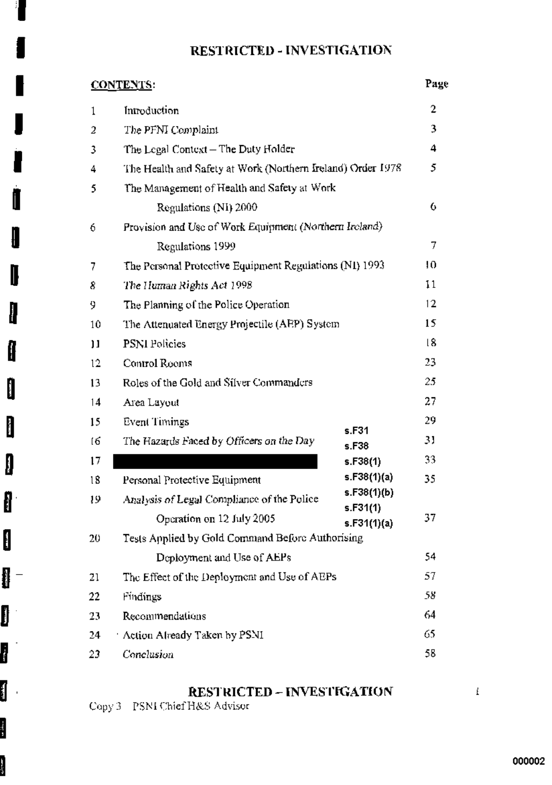Å

l

I

 $\mathbf{I}$ 

 $\mathbf{r}$ 

 $\mathbf{\mathbf{f}}$ 

 $\mathbf 0$ 

 $\mathbf{I}$ 

 $\begin{matrix} \end{matrix}$ 

ſ

 $\mathbf{E}$ 

I

ł

Ú

li<br>S

**Signal** 

| <b>CONTENTS:</b> |                                                             |                         | Page |
|------------------|-------------------------------------------------------------|-------------------------|------|
| $\mathbf 1$      | Introduction                                                |                         | 2    |
| 2                | The PFNI Complaint                                          |                         | 3    |
| 3                | The Logal Context – The Duty Holder                         |                         | 4    |
| 4                | The Health and Safety at Work (Northern Ireland) Order 1978 |                         | 5.   |
| 5                | The Management of Health and Safety at Work                 |                         |      |
|                  | Regulations (NI) 2000                                       |                         | 6    |
| 6                | Provision and Use of Work Equipment (Northern Ireland)      |                         |      |
|                  | Regulations 1999                                            |                         | 7    |
| 7                | The Personal Protective Equipment Regulations (N1) 1993     |                         | 10   |
| 8                | The Human Rights Act 1998                                   |                         | 11   |
| 9                | The Planning of the Police Operation                        |                         | 12   |
| 10               | The Attenuated Energy Projectile (AEP) System               |                         | 15   |
| 11               | PSNI Policies                                               |                         | 18   |
| 12               | Control Rooms                                               |                         | 23   |
| 13               | Roles of the Gold and Silver Commanders                     |                         | 25   |
| 14               | Area Layout                                                 |                         | 27   |
| 15               | Event Timings                                               | s.F31                   | 29   |
| 16               | The Hazards Faced by Officers on the Day                    | s.F38                   | 31   |
| 17               |                                                             | s.F38(1)                | 33   |
| 18               | Personal Protective Equipment                               | s.F38(1)(a)             | 35   |
| 19               | Analysis of Legal Compliance of the Police                  | s.F38(1)(b)<br>s.F31(1) |      |
|                  | Operation on 12 July 2005                                   | s.F31(1)(a)             | 37   |
| 20               | Tests Applied by Gold Command Before Authorising            |                         |      |
|                  | Deployment and Use of AEPs                                  |                         | 54   |
| 21               | The Effect of the Deployment and Use of AEPs                |                         | 57   |
| 22               | Findings                                                    |                         | 58   |
| 23               | Recommendations                                             |                         | 64   |
| 24               | Action Already Taken by PSNI                                |                         | 65   |
| 23.              | Conclusion                                                  |                         | 58   |

# **RESTRICTED - INVESTIGATION**

Copy 3 PSNI Chief H&S Advisor

 $\mathbf{f}$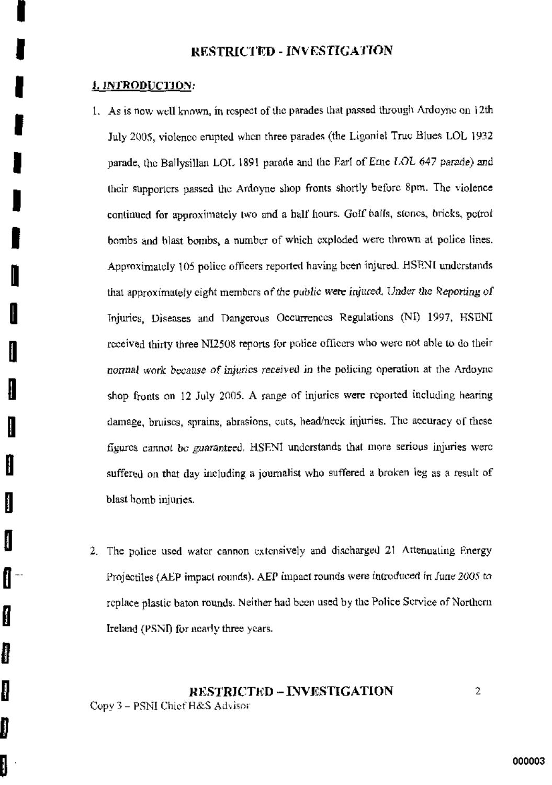## 1. INTRODUCTION:

H

H

ł

I

I

1

▌

I

- 1. As is now well known, in respect of the parades that passed through Ardoyne on 12th July 2005, violence empted when three parades (the Ligoniel True Blues LOL 1932 parade, the Ballysillan LOL 1891 parade and the Fari of Eme LOL 647 parade) and their supporters passed the Ardoyne shop fronts shortly before 8pm. The violence continued for approximately two and a half hours. Golf balls, stones, bricks, petrol bombs and blast bombs, a number of which exploded were thrown at police lines. Approximately 105 police officers reported having been injured. HSENI understands that approximately eight members of the public were injured. Under the Reporting of Injuries. Diseases and Dangerous Occurrences Regulations (NI) 1997, HSENI received thirty three NI2508 reports for police officers who were not able to do their normal work because of injuries received in the policing operation at the Ardoyne shop fronts on 12 July 2005. A range of injuries were reported including hearing damage, bruises, sprains, abrasions, cuts, head/neck injuries. The accuracy of these figures cannot be guaranteed. HSENI understands that more serious injuries were suffered on that day including a journalist who suffered a broken leg as a result of blast bomb injuries.
- 2. The police used water cannon extensively and discharged 21 Attenuating Energy Projectiles (AEP impact rounds). AEP impact rounds were introduced in June 2005 to replace plastic baton rounds. Neither had been used by the Police Service of Northern Ireland (PSNI) for nearly three years.

## RESTRICTED-INVESTIGATION Copy 3 - PSNI Chief H&S Advisor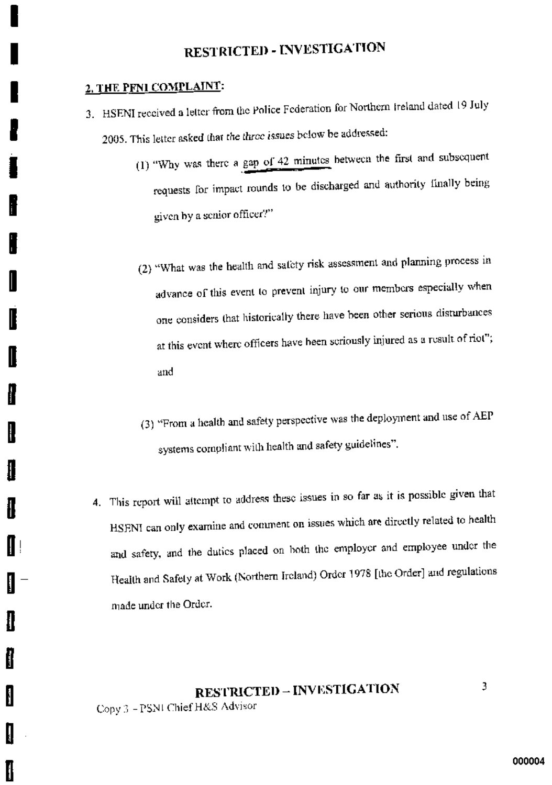# 2. THE PFNI COMPLAINT:

ł

ł

į.

I

H

ĺ

- 3. HSENI received a letter from the Police Federation for Northern Ireland dated 19 July 2005. This letter asked that the three issues below be addressed:
	- (1) "Why was there a gap of 42 minutes between the first and subsequent requests for impact rounds to be discharged and authority finally being given by a senior officer?"
	- (2) "What was the health and safety risk assessment and planning process in advance of this event to prevent injury to our members especially when one considers that historically there have been other serious disturbances at this event where officers have been seriously injured as a result of riot"; and
	- (3) "From a health and safety perspective was the deployment and use of AEP systems compliant with health and safety guidelines".
	- 4. This report will attempt to address these issues in so far as it is possible given that HSENI can only examine and comment on issues which are directly related to health and safety, and the duties placed on both the employer and employee under the Health and Safety at Work (Northern Ireland) Order 1978 [the Order] and regulations made under the Order.

# **RESTRICTED - INVESTIGATION** Copy 3 - PSNI Chief H&S Advisor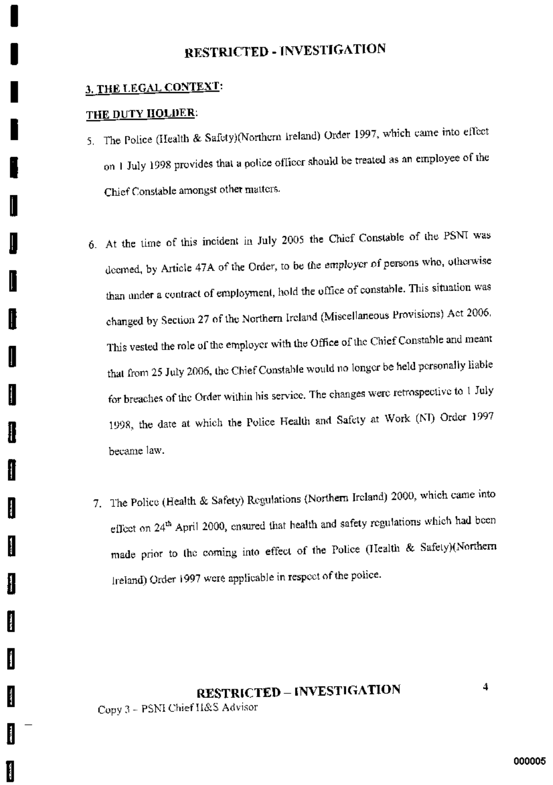# 3. THE LEGAL CONTEXT:

## THE DUTY HOLDER:

 $\overline{\phantom{a}}$ 

I

H

I

H

H

I

I

ŀ

ľ

ľ

- 5. The Police (Health & Safety)(Northern Ireland) Order 1997, which came into effect on 1 July 1998 provides that a police officer should be treated as an employee of the Chief Constable amongst other matters.
- 6. At the time of this incident in July 2005 the Chief Constable of the PSNI was deemed, by Article 47A of the Order, to be the employer of persons who, otherwise than under a contract of employment, hold the office of constable. This situation was changed by Section 27 of the Northern Ireland (Miscellaneous Provisions) Act 2006. This vested the role of the employer with the Office of the Chief Constable and meant that from 25 July 2006, the Chief Constable would no longer be held personally liable for breaches of the Order within his service. The changes were retrospective to 1 July 1998, the date at which the Police Health and Safety at Work (NI) Order 1997 became law.
- 7. The Police (Health & Safety) Regulations (Northern Ireland) 2000, which came into effect on 24<sup>th</sup> April 2000, ensured that health and safety regulations which had been made prior to the coming into effect of the Police (Health & Safety)(Northern Ireland) Order 1997 were applicable in respect of the police.

# **RESTRICTED - INVESTIGATION** Copy 3 - PSNI Chief H&S Advisor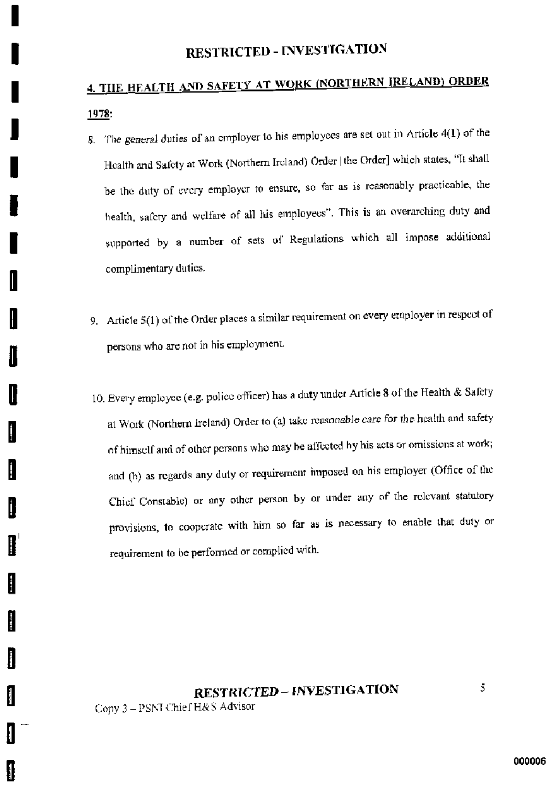# 4. THE HEALTH AND SAFETY AT WORK (NORTHERN IRELAND) ORDER 1978:

- 8. The general duties of an employer to his employees are set out in Article 4(1) of the Health and Safety at Work (Northern Ireland) Order [the Order] which states, "It shall be the duty of every employer to ensure, so far as is reasonably practicable, the health, safety and welfare of all his employees". This is an overarching duty and supported by a number of sets of Regulations which all impose additional complimentary duties.
- 9. Article 5(1) of the Order places a similar requirement on every employer in respect of persons who are not in his employment.
- 10. Every employee (e.g. police officer) has a duty under Article 8 of the Health & Safety at Work (Northern Ireland) Order to (a) take reasonable care for the health and safety of himself and of other persons who may be affected by his acts or omissions at work; and (b) as regards any duty or requirement imposed on his employer (Office of the Chief Constable) or any other person by or under any of the relevant statutory provisions, to cooperate with him so far as is necessary to enable that duty or requirement to be performed or complied with.

# **RESTRICTED - INVESTIGATION**

Copy 3 - PSNI Chief H&S Advisor

H

ł

II

I

I

**Contract** 

I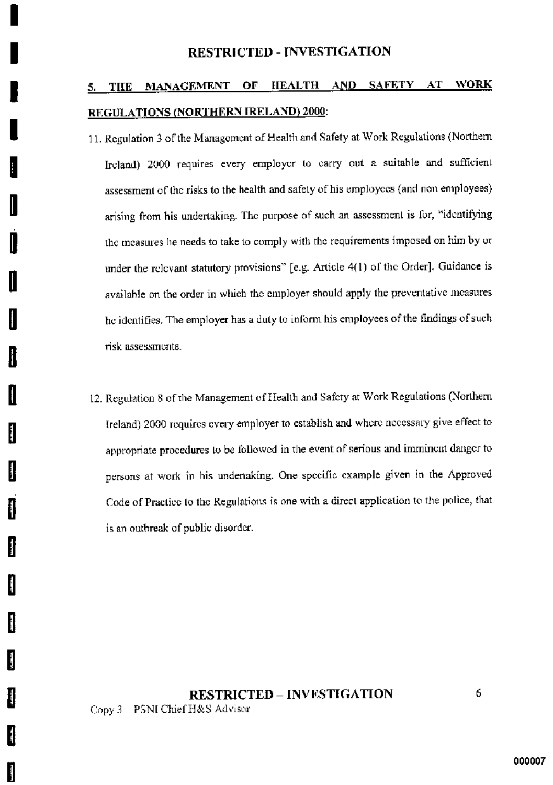## MANAGEMENT OF HEALTH AND SAFETY AT WORK 5. THE REGULATIONS (NORTHERN IRELAND) 2000:

11. Regulation 3 of the Management of Health and Safety at Work Regulations (Northern Ircland) 2000 requires every employer to carry out a suitable and sufficient assessment of the risks to the health and safety of his employees (and non employees) arising from his undertaking. The purpose of such an assessment is for, "identifying the measures he needs to take to comply with the requirements imposed on him by or under the relevant statutory provisions" [e.g. Article 4(1) of the Order]. Guidance is available on the order in which the employer should apply the preventative measures he identifies. The employer has a duty to inform his employees of the findings of such risk assessments.

U

H

ľ

H

H

ll

12. Regulation 8 of the Management of Health and Safety at Work Regulations (Northern Ireland) 2000 requires every employer to establish and where necessary give effect to appropriate procedures to be followed in the event of serious and imminent danger to persons at work in his undertaking. One specific example given in the Approved Code of Practice to the Regulations is one with a direct application to the police, that is an outbreak of public disorder.

# **RESTRICTED - INVESTIGATION** Copy 3 PSNI Chief H&S Advisor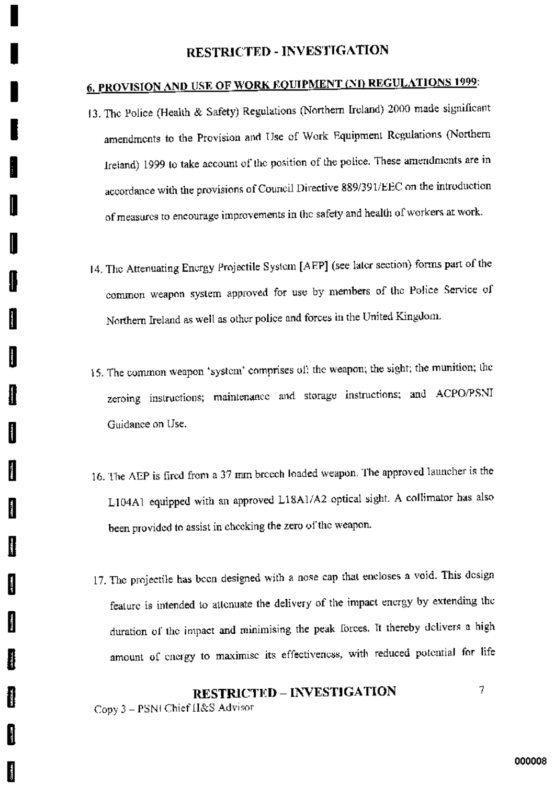# **6. PROVISION AND USE OF WORK EQUIPMENT (NI) REGULATIONS 1999:**

- 13. The Police (Health & Safety) Regulations (Northern Ireland) 2000 made significant amendments to the Provision and Use of Work Equipment Regulations (Northern Ireland) 1999 to take account of the position of the police. These amendments are in accordance with the provisions of Council Directive 889/391/EEC on the introduction of measures to encourage improvements in the safety and health of workers at work.
- 14. The Attenuating Energy Projectile System [AEP] (see later section) forms part of the common weapon system approved for use by members of the Police Service of Northern Ireland as well as other police and forces in the United Kingdom.
- 15. The common weapon 'system' comprises of, the weapon, the sight; the munition; the zeroing instructions; maintenance and storage instructions; and ACPO/PSNI Guidance on Use.
- 16. The AEP is fired from a 37 mm breech loaded weapon. The approved launcher is the L104A1 equipped with an approved L18A1/A2 optical sight. A collimator has also been provided to assist in checking the zero of the weapon.
- 17. The projectile has been designed with a nose cap that encloses a void. This design feature is intended to attenuate the delivery of the impact energy by extending the duration of the impact and minimising the peak forces. It thereby delivers a high amount of energy to maximise its effectiveness, with reduced potential for life

# **RESTRICTED - INVESTIGATION**

7

I

I

I

l

I

I

l

И

**Barbara** 

H

I

I

il

Į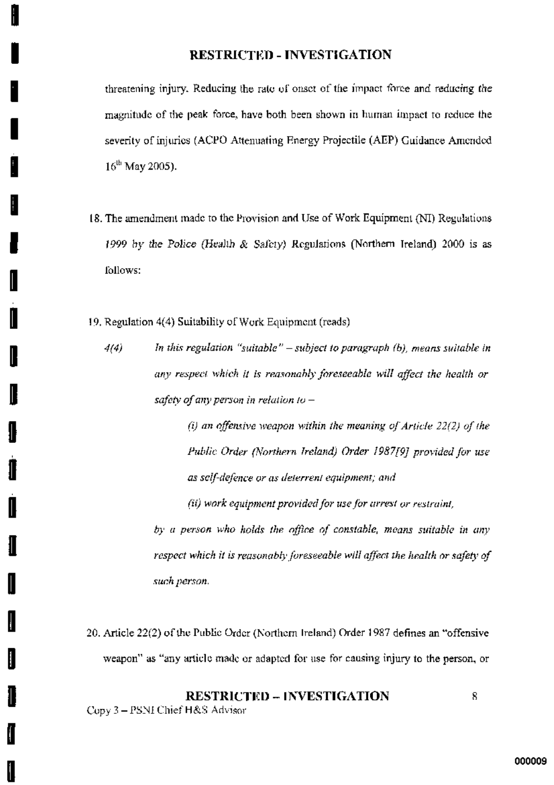threatening injury. Reducing the rate of onset of the impact force and reducing the magnitude of the peak force, have both been shown in human impact to reduce the severity of injuries (ACPO Attenuating Energy Projectile (AEP) Guidance Amended  $16^{th}$  May 2005).

- 18. The amendment made to the Provision and Use of Work Equipment (NI) Regulations 1999 by the Police (Health & Safety) Regulations (Northern Ireland) 2000 is as follows:
- 19. Regulation 4(4) Suitability of Work Equipment (reads)
	- In this regulation "suitable" subject to paragraph  $(b)$ , means suitable in 4(4) any respect which it is reasonably foreseeable will affect the health or safety of any person in relation to  $-$

(i) an offensive weapon within the meaning of Article 22(2) of the Public Order (Northern Ireland) Order 1987/9] provided for use as self-defence or as deterrent equipment; and

(ii) work equipment provided for use for arrest or restraint,

by a person who holds the office of constable, means suitable in any respect which it is reasonably foreseeable will affect the health or safety of such person.

20. Article 22(2) of the Public Order (Northern Ireland) Order 1987 defines an "offensive weapon" as "any article made or adapted for use for causing injury to the person, or

# **RESTRICTED - INVESTIGATION**

Copy 3 - PSNI Chief H&S Advisor

I

I

I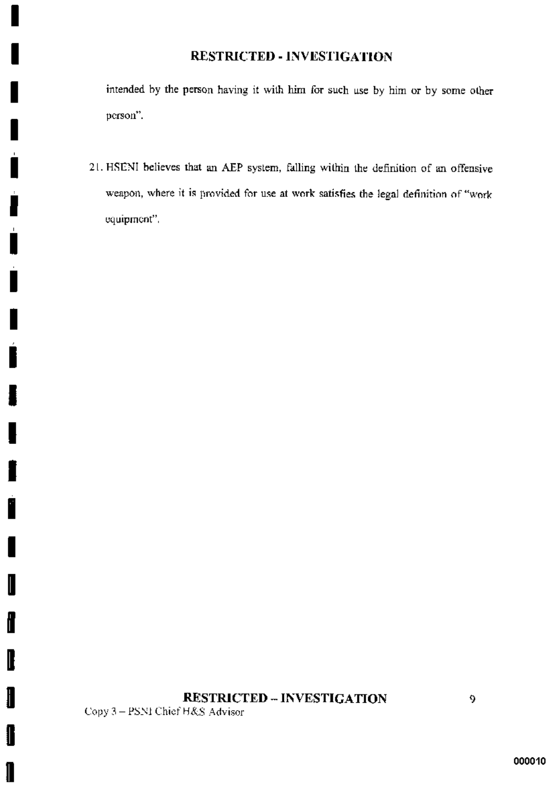intended by the person having it with him for such use by him or by some other person".

21. HSENI believes that an AEP system, falling within the definition of an offensive weapon, where it is provided for use at work satisfies the legal definition of "work equipment".

# **RESTRICTED - INVESTIGATION**

Copy 3-PSNI Chief H&S Advisor

I

ű

I

▌

 $\mathbf{l}$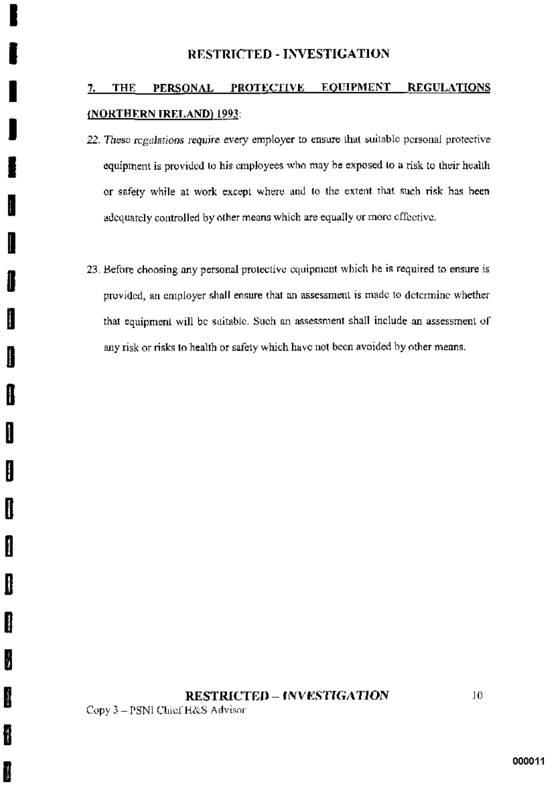#### PERSONAL PROTECTIVE **EQUIPMENT REGULATIONS THE** 7. (NORTHERN IRELAND) 1993:

- 22. These regulations require every employer to ensure that suitable personal protective equipment is provided to his employees who may be exposed to a risk to their health or safety while at work except where and to the extent that such risk has been adequately controlled by other means which are equally or more effective.
- 23. Before choosing any personal protective equipment which he is required to ensure is provided, an employer shall ensure that an assessment is made to determine whether that equipment will be suitable. Such an assessment shall include an assessment of any risk or risks to health or safety which have not been avoided by other means.

## **RESTRICTED - INVESTIGATION**

Copy 3 - PSNI Chief H&S Advisor

I

I

I

i<br>Politika<br>Politika

ĺ

I

Į.

H

i.<br>P

Ĵ

ł

i.<br>S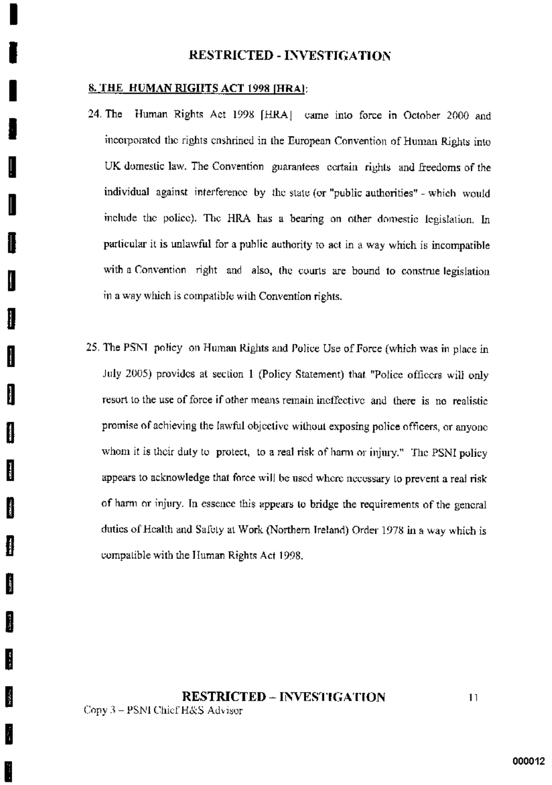#### 8. THE HUMAN RIGHTS ACT 1998 [HRA]:

F

ķ

- 24. The Human Rights Act 1998 [HRA] came into force in October 2000 and incorporated the rights enshrined in the European Convention of Human Rights into UK domestic law. The Convention guarantees cortain rights and freedoms of the individual against interference by the state (or "public authorities" - which would include the police). The HRA has a bearing on other domestic legislation. In particular it is unlawful for a public authority to act in a way which is incompatible with a Convention right and also, the courts are bound to construe legislation in a way which is compatible with Convention rights.
- 25. The PSNT policy on Human Rights and Police Use of Force (which was in place in July 2005) provides at section 1 (Policy Statement) that "Police officers will only resort to the use of force if other means remain ineffective and there is no realistic promise of achieving the lawful objective without exposing police officers, or anyone whom it is their duty to protect, to a real risk of harm or injury." The PSNI policy appears to acknowledge that force will be used where necessary to prevent a real risk of harm or injury. In essence this appears to bridge the requirements of the general duties of Health and Safety at Work (Northern Ireland) Order 1978 in a way which is compatible with the Human Rights Act 1998.

## **RESTRICTED - INVESTIGATION** Copy 3 - PSNI Chief H&S Advisor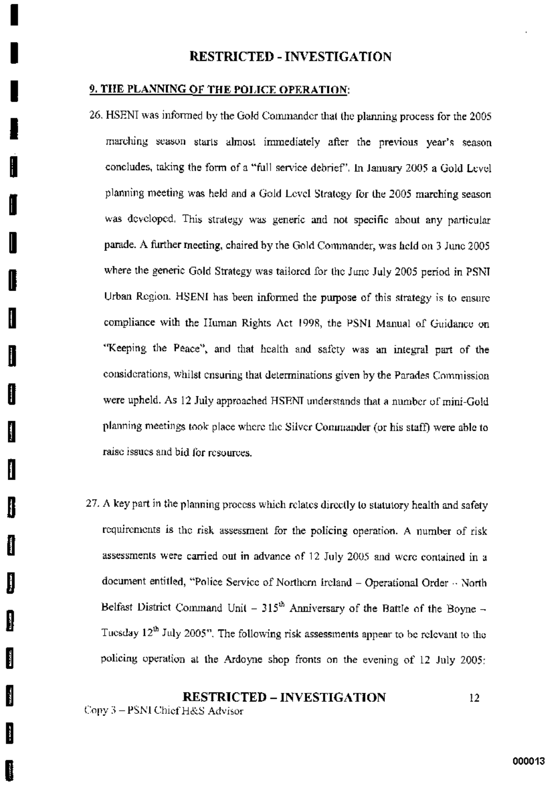#### **9. THE PLANNING OF THE POLICE OPERATION:**

l

I

II

- 26. HSENI was informed by the Gold Commander that the planning process for the 2005 marching season starts almost immediately after the previous year's season concludes, taking the form of a "full service debrief". In January 2005 a Gold Level planning meeting was held and a Gold Level Strategy for the 2005 marching season was developed. This strategy was generic and not specific about any particular parade. A further meeting, chaired by the Gold Commander, was held on 3 June 2005 where the generic Gold Strategy was tailored for the June July 2005 period in PSNI Urban Region. HSENI has been informed the purpose of this strategy is to ensure compliance with the Human Rights Act 1998, the PSNI Manual of Guidance on "Keeping the Peace", and that health and safety was an integral part of the considerations, whilst ensuring that determinations given by the Parades Commission were upheld. As 12 July approached HSENI understands that a number of mini-Gold planning meetings took place where the Silver Commander (or his staff) were able to raise issues and bid for resources.
- 27. A key part in the planning process which relates directly to statutory health and safety requirements is the risk assessment for the policing operation. A number of risk assessments were carried out in advance of 12 July 2005 and were contained in a document entitled, "Police Service of Northern Ireland - Operational Order - North Belfast District Command Unit -  $315<sup>th</sup>$  Anniversary of the Battle of the Boyne -Tuesday 12<sup>th</sup> July 2005". The following risk assessments appear to be relevant to the policing operation at the Ardoyne shop fronts on the evening of 12 July 2005:

**RESTRICTED - INVESTIGATION**  $12<sup>°</sup>$ Copy 3 - PSNI Chief H&S Advisor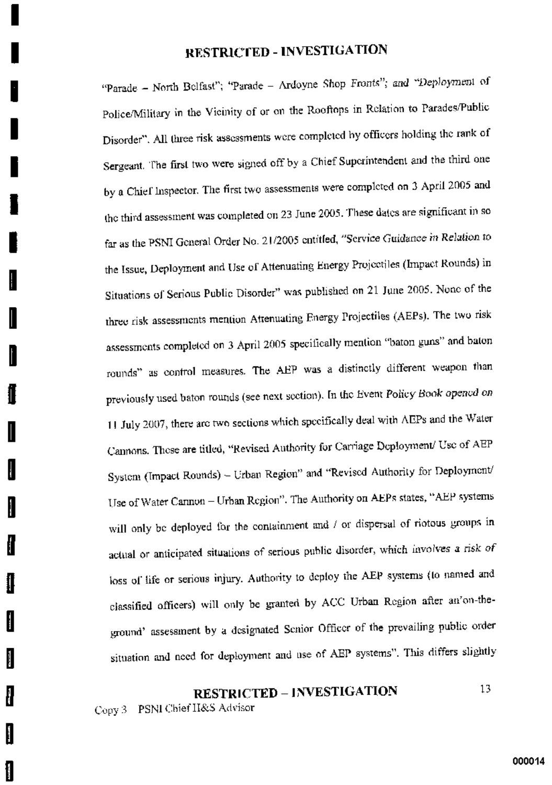"Parade - North Belfast"; "Parade - Ardoyne Shop Fronts"; and "Deployment of Police/Military in the Vicinity of or on the Rooftops in Relation to Parades/Public Disorder". All three risk assessments were completed by officers holding the rank of Sergeant. The first two were signed off by a Chief Superintendent and the third one by a Chief Inspector. The first two assessments were completed on 3 April 2005 and the third assessment was completed on 23 June 2005. These dates are significant in so far as the PSNI General Order No. 21/2005 entitled, "Service Guidance in Relation to the Issue, Deployment and Use of Attenuating Energy Projectiles (Impact Rounds) in Situations of Serious Public Disorder" was published on 21 June 2005. None of the three risk assessments mention Attenuating Energy Projectiles (AEPs). The two risk assessments completed on 3 April 2005 specifically mention "baton guns" and baton rounds" as control measures. The AEP was a distinctly different weapon than previously used baton rounds (see next section). In the Event Policy Book opened on 11 July 2007, there are two sections which specifically deal with AEPs and the Water Cannons. These are titled, "Revised Authority for Carriage Deployment/ Use of AEP System (Impact Rounds) - Urban Region" and "Revised Authority for Deployment/ Use of Water Cannon - Urban Region". The Authority on AEPs states, "AEP systems will only be deployed for the containment and / or dispersal of riotous groups in actual or anticipated situations of serious public disorder, which involves a risk of loss of life or serious injury. Authority to deploy the AEP systems (to named and classified officers) will only be granted by ACC Urban Region after an'on-theground' assessment by a designated Senior Officer of the prevailing public order situation and need for deployment and use of AEP systems". This differs slightly

# **RESTRICTED - INVESTIGATION**

Copy 3 PSNI Chief H&S Advisor

1

I

H

I

∥

ł

ł

ŧ

ſ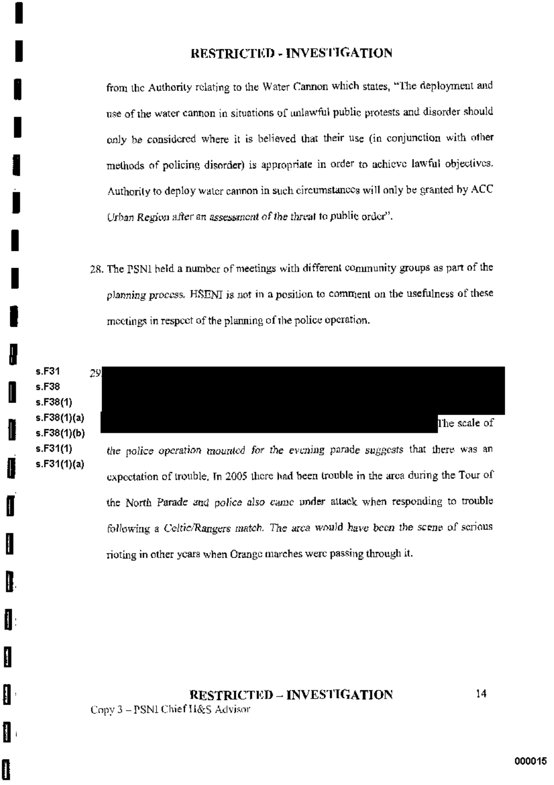from the Authority relating to the Water Cannon which states, "The deployment and use of the water cannon in situations of unlawful public protests and disorder should only be considered where it is believed that their use (in conjunction with other methods of policing disorder) is appropriate in order to achieve lawful objectives. Authority to deploy water cannon in such circumstances will only be granted by ACC Urban Region after an assessment of the threat to public order".

28. The PSNI held a number of meetings with different community groups as part of the planning process. HSENI is not in a position to comment on the usefulness of these meetings in respect of the planning of the police operation.



I

∦

H

I

1

1

0

following a Celtic/Rangers match. The area would have been the scene of serious rioting in other years when Orange marches were passing through it.

**RESTRICTED – INVESTIGATION** Copy 3 - PSNI Chief H&S Advisor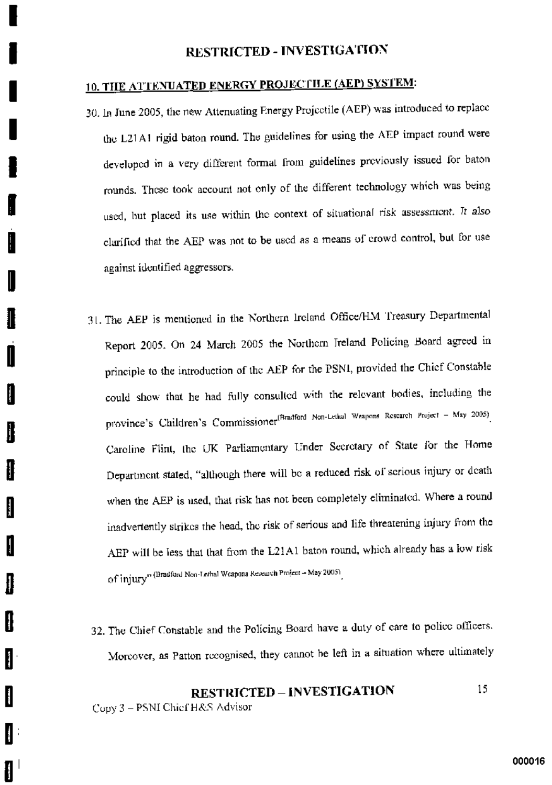# 10. THE ATTENUATED ENERGY PROJECTILE (AEP) SYSTEM:

- 30. In June 2005, the new Attenuating Energy Projectile (AEP) was introduced to replace the L21A1 rigid baton round. The guidelines for using the AEP impact round were developed in a very different formal from guidelines previously issued for baton rounds. These took account not only of the different technology which was being used, but placed its use within the context of situational risk assessment. It also clarified that the AEP was not to be used as a means of crowd control, but for use against identified aggressors.
- 31. The AEP is mentioned in the Northern Ireland Office/HM Treasury Departmental Report 2005. On 24 March 2005 the Northern Ireland Policing Board agreed in principle to the introduction of the AEP for the PSNI, provided the Chief Constable could show that he had fully consulted with the relevant bodies, including the province's Children's Commissioner<sup>(Bradford Non-Lethal Weapons Research Project - May 2005)</sup> Caroline Flint, the UK Parliamentary Under Secretary of State for the Home Department stated, "although there will be a reduced risk of scrious injury or death when the AEP is used, that risk has not been completely eliminated. Where a round inadvertently strikes the head, the risk of serious and life threatening injury from the AEP will be less that that from the L21A1 baton round, which already has a low risk Of Injury" (Bradford Non-Lethal Weapons Research Project - May 2005)

H

ł.

H

₩

I

ł

ĺ

32. The Chief Constable and the Policing Board have a duty of care to police officers. Moreover, as Patton recognised, they cannot be left in a situation where ultimately

#### **RESTRICTED - INVESTIGATION** 15. Copy 3 - PSNI Chief H&S Advisor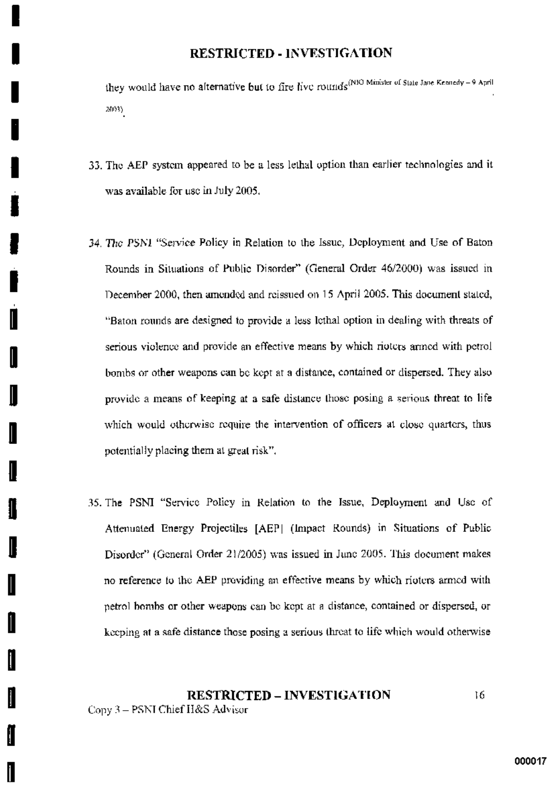they would have no alternative but to fire live rounds<sup>(NIO</sup> Minister of State Jane Kennedy - 9 April 2003).

- 33. The AEP system appeared to be a less lethal option than earlier technologies and it was available for use in July 2005.
- 34. The PSN1 "Service Policy in Relation to the Issue, Deployment and Use of Baton Rounds in Situations of Public Disorder" (General Order 46/2000) was issued in December 2000, then amended and reissued on 15 April 2005. This document stated, "Baton rounds are designed to provide a less lothal option in dealing with threats of serious violence and provide an effective means by which rioters armed with petrol bombs or other weapons can be kept at a distance, contained or dispersed. They also provide a means of keeping at a safe distance those posing a serious threat to life which would otherwise require the intervention of officers at close quarters, thus potentially placing them at great risk".

I

I

ſ

35. The PSNI "Service Policy in Relation to the Issue, Deployment and Usc of Attenuated Energy Projectiles [AEP] (Impact Rounds) in Situations of Public Disorder" (General Order 21/2005) was issued in June 2005. This document makes no reference to the AEP providing an effective means by which rioters armed with petrol bombs or other weapons can be kept at a distance, contained or dispersed, or keeping at a safe distance those posing a serious threat to life which would otherwise

#### **RESTRICTED - INVESTIGATION** 16 Copy 3 - PSNI Chief H&S Advisor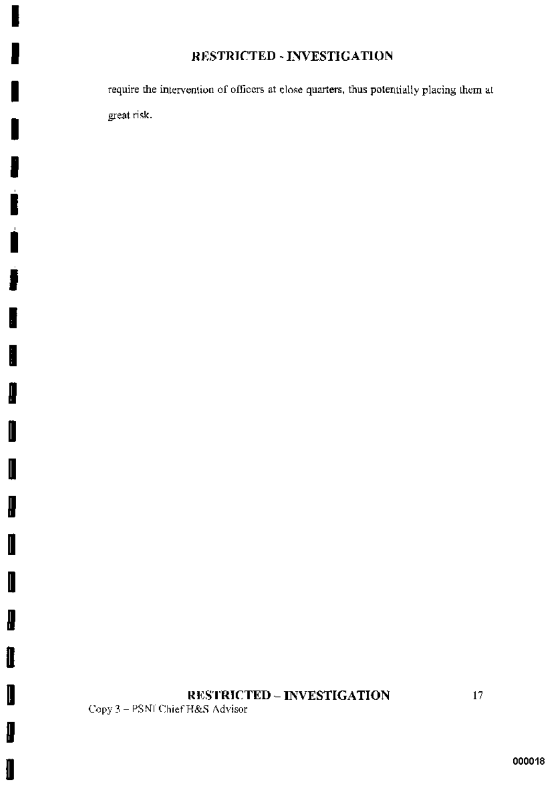require the intervention of officers at close quarters, thus potentially placing them at great risk.

# RESTRICTED - INVESTIGATION

Copy 3 - PSNI Chief H&S Advisor

ŀ

∦

I

I

J

I

I

₽

Î

I

l

▌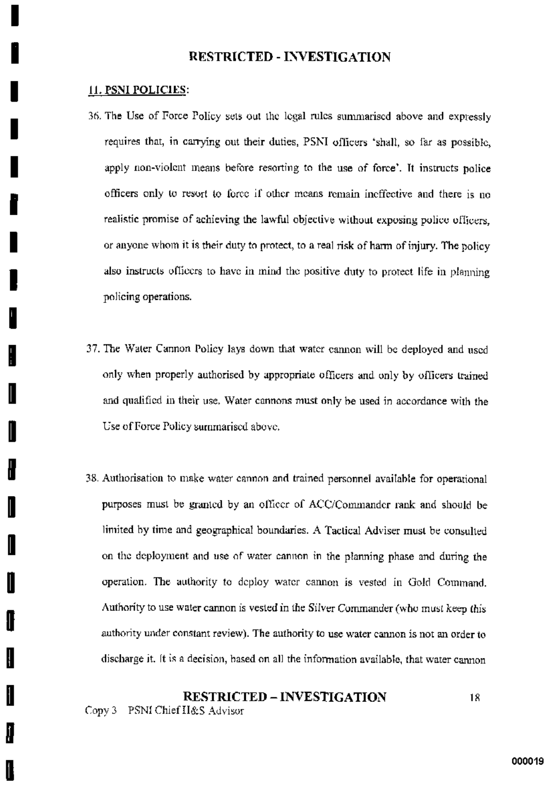#### 11. PSNI POLICIES:

- 36. The Use of Force Policy sets out the legal rules summarised above and expressly requires that, in carrying out their duties, PSNI officers 'shall, so far as possible, apply non-violent means before resorting to the use of force'. It instructs police officers only to resort to force if other means remain ineffective and there is no realistic promise of achieving the lawful objective without exposing police officers. or anyone whom it is their duty to protect, to a real risk of harm of injury. The policy also instructs officers to have in mind the positive duty to protect life in planning policing operations.
- 37. The Water Cannon Policy lays down that water cannon will be deployed and used only when properly authorised by appropriate officers and only by officers trained and qualified in their use. Water cannons must only be used in accordance with the Use of Force Policy summarised above.
- 38. Authorisation to make water cannon and trained personnel available for operational purposes must be granted by an officer of ACC/Commander rank and should be limited by time and geographical boundaries. A Tactical Adviser must be consulted on the deployment and use of water cannon in the planning phase and during the operation. The authority to deploy water cannon is vested in Gold Command. Authority to use water cannon is vested in the Silver Commander (who must keep this authority under constant review). The authority to use water cannon is not an order to discharge it. It is a decision, based on all the information available, that water cannon

#### **RESTRICTED - INVESTIGATION** 18 Copy 3 PSNI Chief H&S Advisor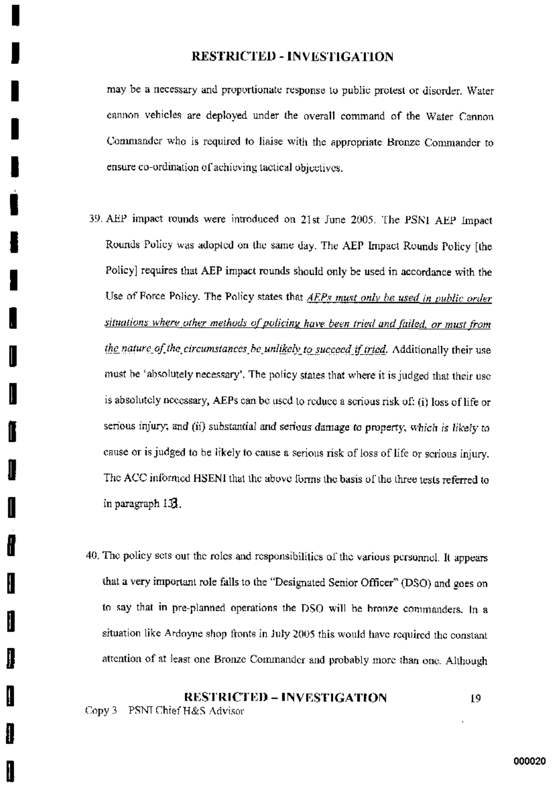may be a necessary and proportionate response to public protest or disorder. Water cannon vehicles are deployed under the overall command of the Water Cannon Commander who is required to liaise with the appropriate Bronze Commander to ensure co-ordination of achieving tactical objectives.

- 39. AEP impact rounds were introduced on 21st June 2005. The PSNI AEP Impact Rounds Policy was adopted on the same day. The AEP Impact Rounds Policy [the Policy] requires that AEP impact rounds should only be used in accordance with the Use of Force Policy. The Policy states that AEPs must only be used in public order situations where other methods of policing have been tried and failed, or must from the nature of the circumstances be unlikely to succeed if tried. Additionally their use must be 'absolutely necessary'. The policy states that where it is judged that their usc is absolutely necessary, AEPs can be used to reduce a serious risk of: (i) loss of life or serious injury; and (ii) substantial and serious damage to property, which is likely to cause or is judged to be likely to cause a serious risk of loss of life or scrious injury. The ACC informed HSENI that the above forms the basis of the three tests referred to in paragraph 153.
- 40. The policy sets out the roles and responsibilities of the various personnel. It appears that a very important role falls to the "Designated Senior Officer" (DSO) and goes on to say that in pre-planned operations the DSO will be bronze commanders. In a situation like Ardoyne shop fronts in July 2005 this would have required the constant attention of at least one Bronze Commander and probably more than one. Although

i

**RESTRICTED – INVESTIGATION** 19 Copy 3 PSNI Chief H&S Advisor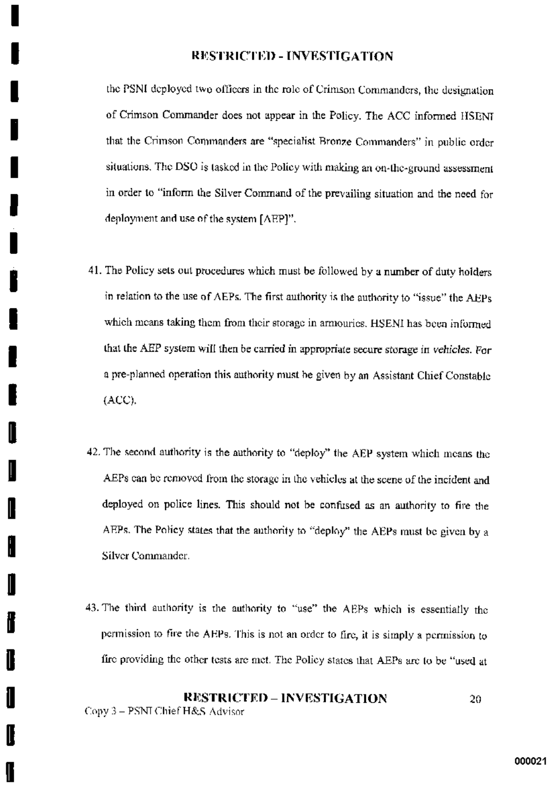the PSNI deployed two officers in the role of Crimson Commanders, the designation of Crimson Commander does not appear in the Policy. The ACC informed HSENI that the Crimson Commanders are "specialist Bronze Commanders" in public order situations. The DSO is tasked in the Policy with making an on-the-ground assessment in order to "inform the Silver Command of the prevailing situation and the need for deployment and use of the system [AEP]".

- 41. The Policy sets out procedures which must be followed by a number of duty holders in relation to the use of AEPs. The first authority is the authority to "issue" the AEPs which means taking them from their storage in armouries. HSENI has been informed that the AEP system will then be carried in appropriate secure storage in vehicles. For a pre-planned operation this authority must be given by an Assistant Chief Constable  $(ACC)$ .
- 42. The second authority is the authority to "deploy" the AEP system which means the AEPs can be removed from the storage in the vehicles at the scene of the incident and deployed on police lines. This should not be confused as an authority to fire the AEPs. The Policy states that the authority to "deploy" the AEPs must be given by a Silver Commander.
- 43. The third authority is the authority to "use" the AEPs which is essentially the permission to fire the AEPs. This is not an order to fire, it is simply a permission to fire providing the other tests are met. The Policy states that AEPs are to be "used at

**RESTRICTED – INVESTIGATION** 20. Copy 3 - PSNI Chief H&S Advisor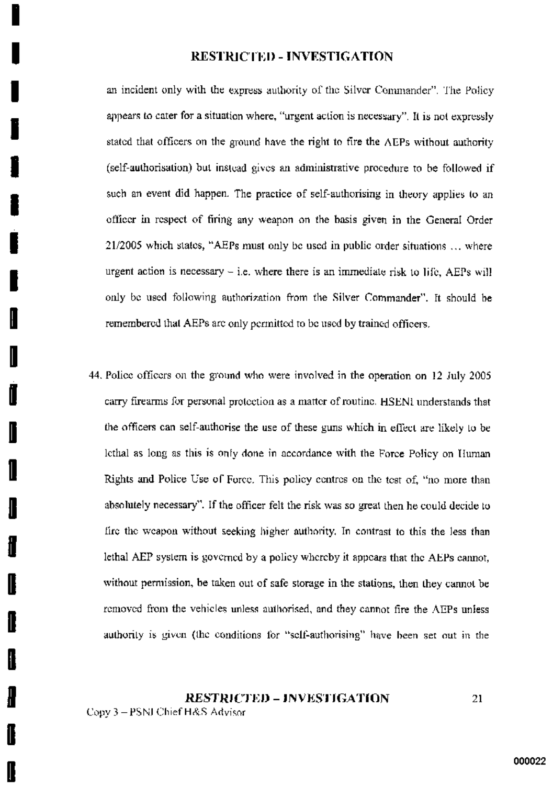an incident only with the express authority of the Silver Commander". The Policy appears to cater for a situation where, "urgent action is necessary". It is not expressly stated that officers on the ground have the right to fire the AEPs without authority (self-authorisation) but instead gives an administrative procedure to be followed if such an event did happen. The practice of self-authorising in theory applies to an officer in respect of firing any weapon on the basis given in the General Order 21/2005 which states. "AEPs must only be used in public order situations ... where urgent action is necessary  $-$  i.e. where there is an immediate risk to life, AEPs will only be used following authorization from the Silver Commander". It should be remembered that AEPs are only permitted to be used by trained officers.

44. Police officers on the ground who were involved in the operation on 12 July 2005 carry firearms for personal protection as a matter of routine. HSENI understands that the officers can self-authorise the use of these guns which in effect are likely to be lethal as long as this is only done in accordance with the Force Policy on Human Rights and Police Use of Force. This policy centres on the test of, "no more than absolutely necessary". If the officer felt the risk was so great then he could decide to fire the weapon without seeking higher authority. In contrast to this the less than lethal AEP system is governed by a policy whereby it appears that the AEPs cannot, without permission, be taken out of safe storage in the stations, then they cannot be removed from the vehicles unless authorised, and they cannot fire the AEPs unless authority is given (the conditions for "self-authorising" have been set out in the

#### **RESTRICTED - INVESTIGATION** 21

Copy 3 - PSNJ Chief H&S Advisor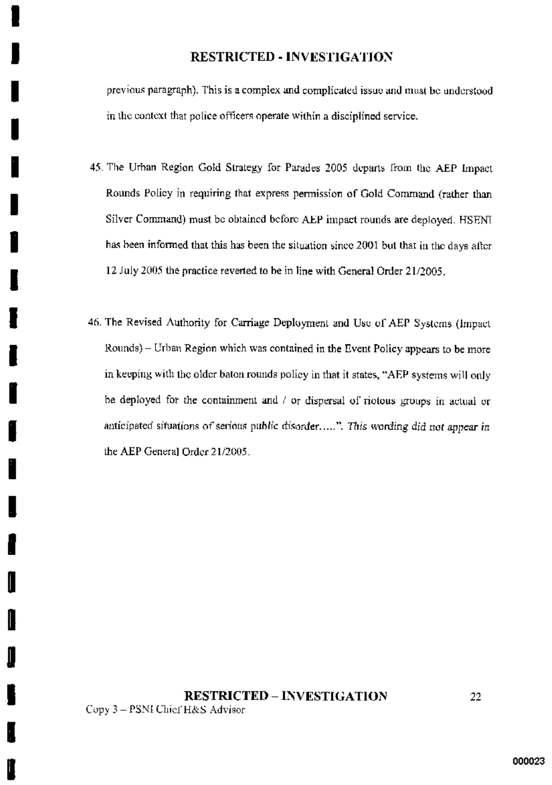previous paragraph). This is a complex and complicated issue and must be understood in the context that police officers operate within a disciplined service.

- 45. The Urban Region Gold Strategy for Parades 2005 departs from the AEP Impact Rounds Policy in requiring that express permission of Gold Command (rather than Silver Command) must be obtained before AEP impact rounds are deployed. HSENU has been informed that this has been the situation since 2001 but that in the days after 12 July 2005 the practice reverted to be in line with General Order 21/2005.
- 46. The Revised Authority for Carriage Deployment and Use of AEP Systems (Impact Rounds) - Urban Region which was contained in the Event Policy appears to be more in keeping with the older baton rounds policy in that it states, "AEP systems will only be deployed for the containment and / or dispersal of riotous groups in actual or anticipated situations of serious public disorder.....". This wording did not appear in the AEP General Order 21/2005.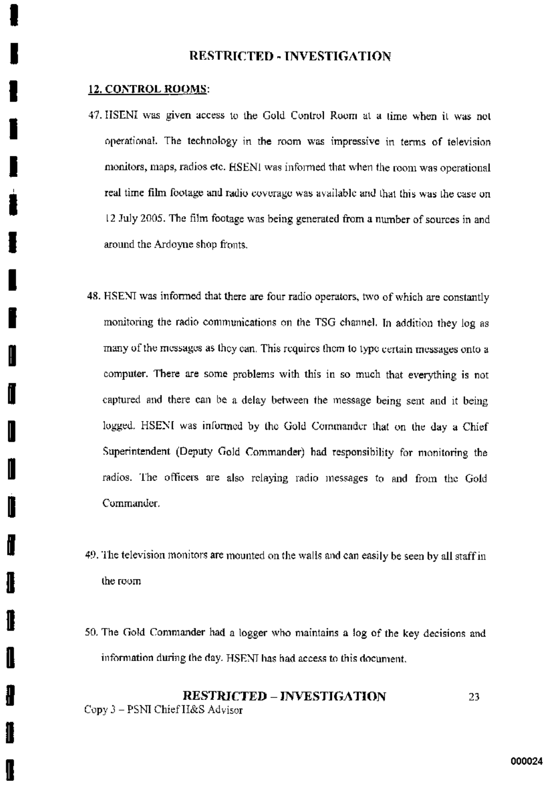#### 12. CONTROL ROOMS:

- 47. HSENI was given access to the Gold Control Room at a time when it was not operational. The technology in the room was impressive in terms of television monitors, maps, radios etc. HSENI was informed that when the room was operational real time film footage and radio coverage was available and that this was the case on 12 July 2005. The film footage was being generated from a number of sources in and around the Ardoyne shop fronts.
- 48. HSENI was informed that there are four radio operators, two of which are constantly monitoring the radio communications on the TSG channel. In addition they log as many of the messages as they can. This requires them to type certain messages onto a computer. There are some problems with this in so much that everything is not captured and there can be a delay between the message being sent and it being logged. HSENI was informed by the Gold Commander that on the day a Chief Superintendent (Deputy Gold Commander) had responsibility for monitoring the radios. The officers are also relaying radio messages to and from the Gold Commander.
- 49. The television monitors are mounted on the walls and can easily be seen by all staff in the room
- 50. The Gold Commander had a logger who maintains a log of the key decisions and information during the day. HSENI has had access to this document.

#### **RESTRICTED – INVESTIGATION** 23. Copy 3 - PSNI Chief H&S Advisor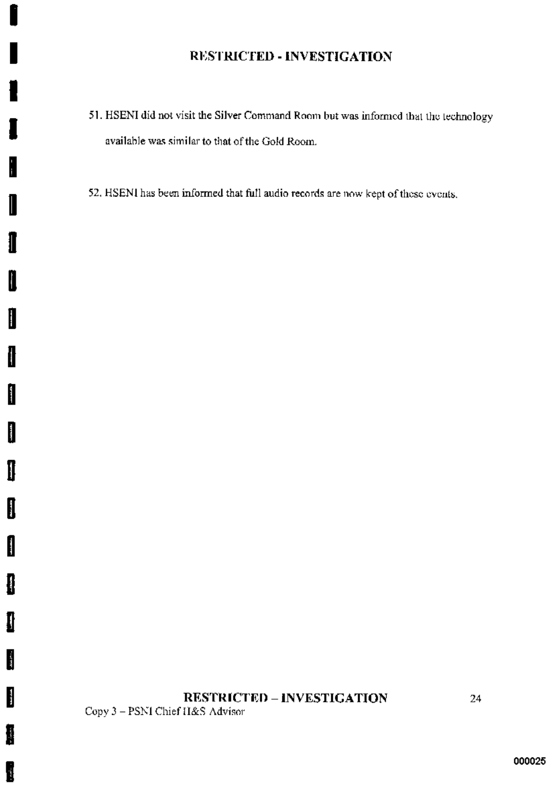- 51. HSENI did not visit the Silver Command Room but was informed that the technology available was similar to that of the Gold Room.
- 52. HSENI has been informed that full audio records are now kept of these events.

# **RESTRICTED - INVESTIGATION**

Copy 3 - PSNI Chief H&S Advisor

I

1

ſ

I

1

I

l

Î

I

I

I

I

I

 $\label{eq:1} \frac{1}{2} \sum_{i=1}^n \frac{1}{2} \sum_{i=1}^n \frac{1}{2} \sum_{i=1}^n \frac{1}{2} \sum_{i=1}^n \frac{1}{2} \sum_{i=1}^n \frac{1}{2} \sum_{i=1}^n \frac{1}{2} \sum_{i=1}^n \frac{1}{2} \sum_{i=1}^n \frac{1}{2} \sum_{i=1}^n \frac{1}{2} \sum_{i=1}^n \frac{1}{2} \sum_{i=1}^n \frac{1}{2} \sum_{i=1}^n \frac{1}{2} \sum_{i=1}^n \frac{1}{$ 

 $\frac{1}{2}$ 

I

i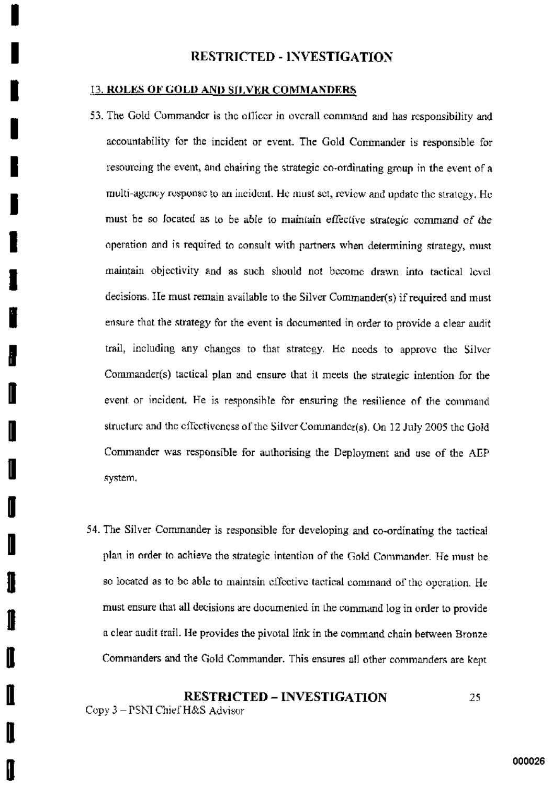#### **13. ROLES OF GOLD AND SILVER COMMANDERS**

- 53. The Gold Commander is the officer in overall command and has responsibility and accountability for the incident or event. The Gold Commander is responsible for resourcing the event, and chairing the strategic co-ordinating group in the event of a multi-agency response to an incident. He must set, review and update the strategy. He must be so focated as to be able to maintain effective strategic command of the operation and is required to consult with partners when determining strategy, must maintain objectivity and as such should not become drawn into tactical level decisions. He must remain available to the Silver Commander(s) if required and must ensure that the strategy for the event is documented in order to provide a clear audit trail, including any changes to that strategy. He needs to approve the Silver Commander(s) tactical plan and ensure that it meets the strategic intention for the event or incident. He is responsible for ensuring the resilience of the command structure and the effectiveness of the Silver Commander(s). On 12 July 2005 the Gold Commander was responsible for authorising the Deployment and use of the AEP system,
- 54. The Silver Commander is responsible for developing and co-ordinating the tactical plan in order to achieve the strategic intention of the Gold Commander. He must be so located as to be able to maintain effective tactical command of the operation. He must ensure that all decisions are documented in the command log in order to provide a clear audit trail. He provides the pivotal link in the command chain between Bronze Commanders and the Gold Commander. This ensures all other commanders are kept

**RESTRICTED – INVESTIGATION** 25. Copy 3 - PSNI Chief H&S Advisor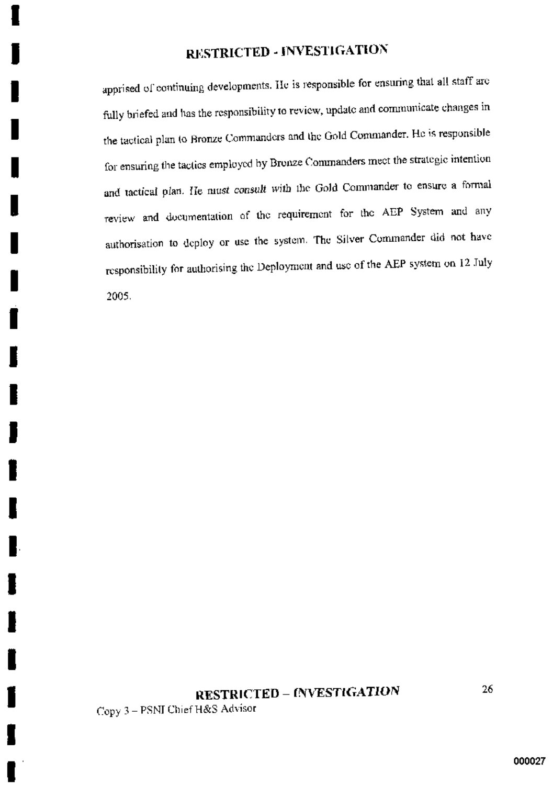apprised of continuing developments. He is responsible for ensuring that all staff are fully briefed and has the responsibility to review, update and communicate changes in the tactical plan to Bronze Commanders and the Gold Commander. He is responsible for ensuring the tactics employed by Bronze Commanders meet the strategic intention and tactical plan. He must consult with the Gold Commander to ensure a formal review and documentation of the requirement for the AEP System and any authorisation to deploy or use the system. The Silver Commander did not have responsibility for authorising the Deployment and use of the AEP system on 12 July 2005.

# **RESTRICTED - INVESTIGATION**

Copy 3 - PSNI Chief H&S Advisor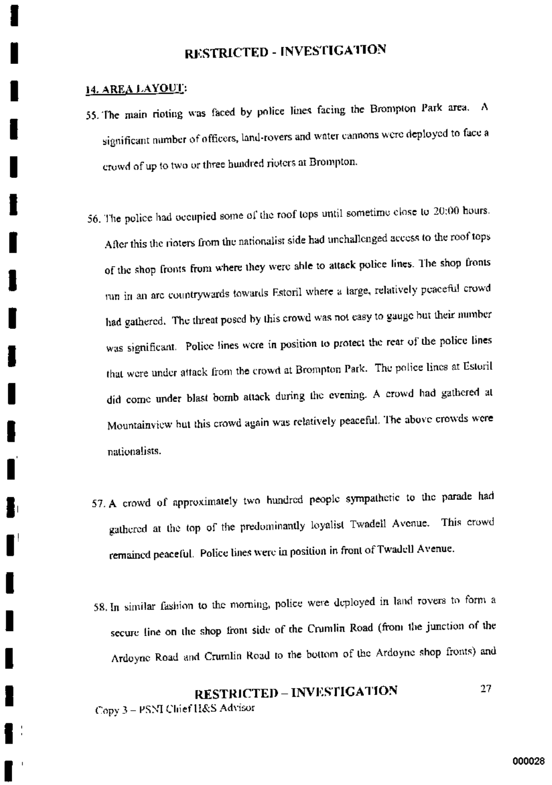#### 14. AREA LAYOUT:

- 55. The main rioting was faced by police lines facing the Brompton Park area. A significant number of officers, land-rovers and water cannons were deployed to face a crowd of up to two or three hundred rioters at Brompton.
- 56. The police had occupied some of the roof tops until sometime close to 20:00 hours. After this the rioters from the nationalist side had unchallenged access to the roof tops of the shop fronts from where they were able to attack police lines. The shop fronts run in an arc countrywards towards Estoril where a large, relatively peaceful crowd had gathered. The threat posed by this crowd was not easy to gauge but their number was significant. Police lines were in position to protect the rear of the police lines that were under attack from the crowd at Brompton Park. The police lines at Estoril did come under blast bomb attack during the evening. A crowd had gathered at Mountainview but this crowd again was relatively peaceful. The above crowds were nationalists.
- 57. A crowd of approximately two hundred people sympathetic to the parade had gathered at the top of the predominantly loyalist Twadell Avenue. This crowd remained peaceful. Police lines were in position in front of Twadell Avenue.
- 58. In similar fashion to the morning, police were deployed in land rovers to form a secure line on the shop front side of the Crumlin Road (from the junction of the Ardoyne Road and Crumlin Road to the bottom of the Ardoyne shop fronts) and

#### **RESTRICTED - INVESTIGATION** 27 Copy 3 - PSNI Chief H&S Advisor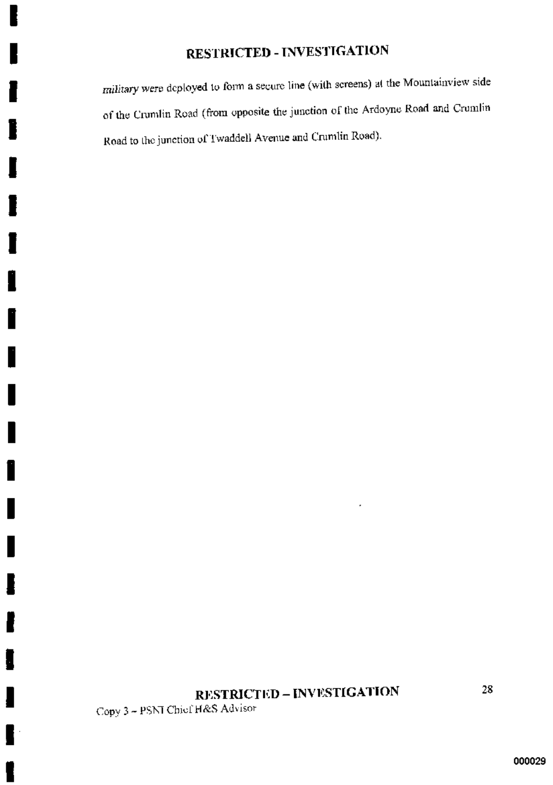military were deployed to form a secure line (with screens) at the Mountainview side of the Crumlin Road (from opposite the junction of the Ardoyne Road and Crumlin Road to the junction of Twaddell Avenue and Crumlin Road).

# **RESTRICTED - INVESTIGATION**

Copy 3 - PSNT Chief H&S Advisor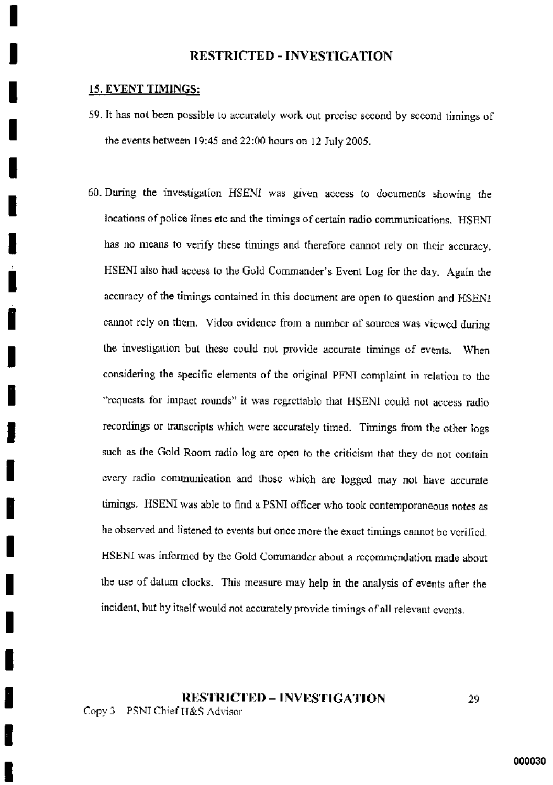### 15. EVENT TIMINGS:

- 59. It has not been possible to accurately work out precise second by second timings of the events between  $19:45$  and  $22:00$  hours on 12 July 2005.
- 60. During the investigation HSENI was given access to documents showing the locations of police lines etc and the timings of certain radio communications. HSENI has no means to verify these timings and therefore cannot rely on their accuracy. HSENI also had access to the Gold Commander's Event Log for the day. Again the accuracy of the timings contained in this document are open to question and HSENI cannot rely on them. Video evidence from a number of sources was viewed during the investigation but these could not provide accurate timings of events. When considering the specific elements of the original PFNI complaint in relation to the "requests for impact rounds" it was regrettable that HSENI could not access radio recordings or transcripts which were accurately timed. Timings from the other logs such as the Gold Room radio log are open to the criticism that they do not contain every radio communication and those which are logged may not have accurate timings. HSENI was able to find a PSNI officer who took contemporaneous notes as he observed and listened to events but once more the exact timings cannot be verified. HSENI was informed by the Gold Commander about a recommendation made about the use of datum clocks. This measure may help in the analysis of events after the incident, but by itself would not accurately provide timings of all relevant events.

## **RESTRICTED – INVESTIGATION** Copy 3 PSNI Chief H&S Advisor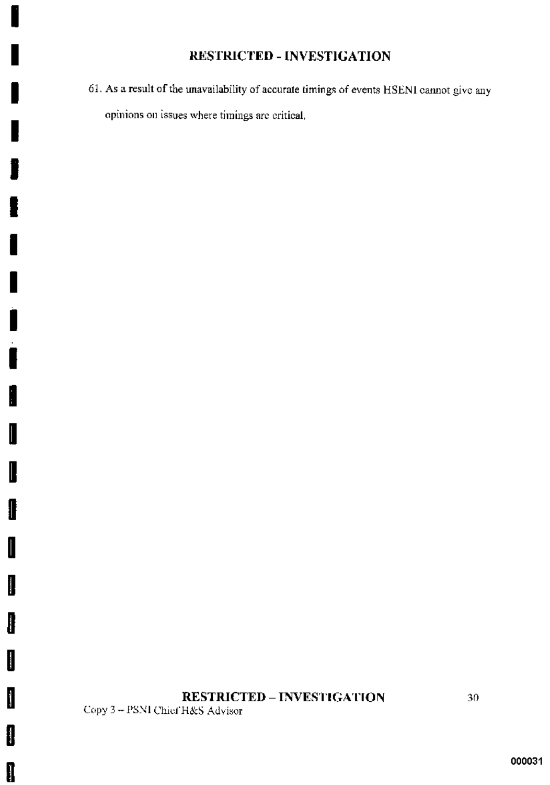61. As a result of the unavailability of accurate timings of events HSENI cannot give any opinions on issues where timings are critical.

# **RESTRICTED - INVESTIGATION**

Copy 3 - PSNI Chief H&S Advisor

I

I

I

I

I

I

I

 $\blacksquare$ 

İ

I

I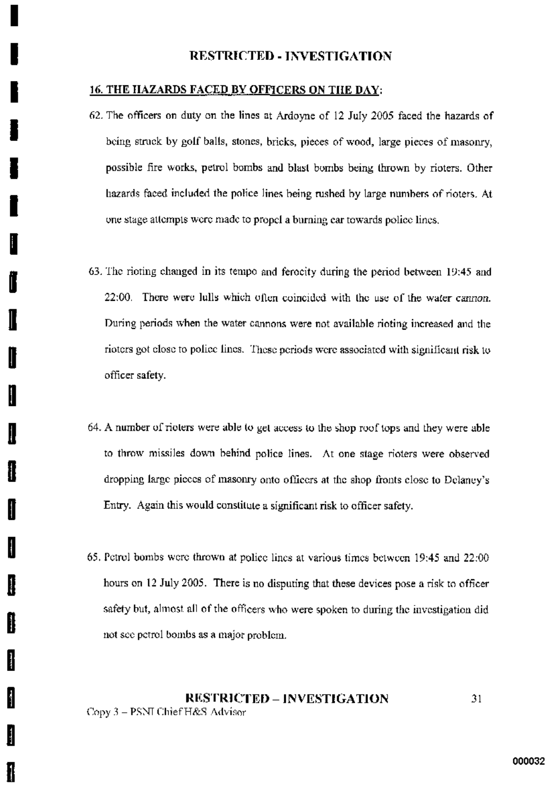#### **16. THE HAZARDS FACED BY OFFICERS ON THE DAY:**

- 62. The officers on duty on the lines at Ardoyne of 12 July 2005 faced the hazards of being struck by golf balls, stones, bricks, pieces of wood, large pieces of masonry, possible fire works, petrol bombs and blast bombs being thrown by rioters. Other hazards faced included the police lines being rushed by large numbers of rioters. At one stage attempts were made to propel a burning car towards police lines.
- 63. The rioting changed in its tempo and ferocity during the period between 19:45 and 22:00. There were lulls which often coincided with the use of the water cannon. During periods when the water cannons were not available rioting increased and the rioters got close to police lines. These periods were associated with significant risk to officer safety.
- 64. A number of rioters were able to get access to the shop roof tops and they were able to throw missiles down behind police lines. At one stage rioters were observed dropping large pieces of masonry onto officers at the shop fronts close to Delaney's Entry. Again this would constitute a significant risk to officer safety.

H

I

Į

Ħ

H

H

65. Petrol bombs were thrown at police lines at various times between 19:45 and 22:00 hours on 12 July 2005. There is no disputing that these devices pose a risk to officer safety but, almost all of the officers who were spoken to during the investigation did not see petrol bombs as a major problem.

#### **RESTRICTED - INVESTIGATION** 31 Copy 3 - PSNI Chief H&S Advisor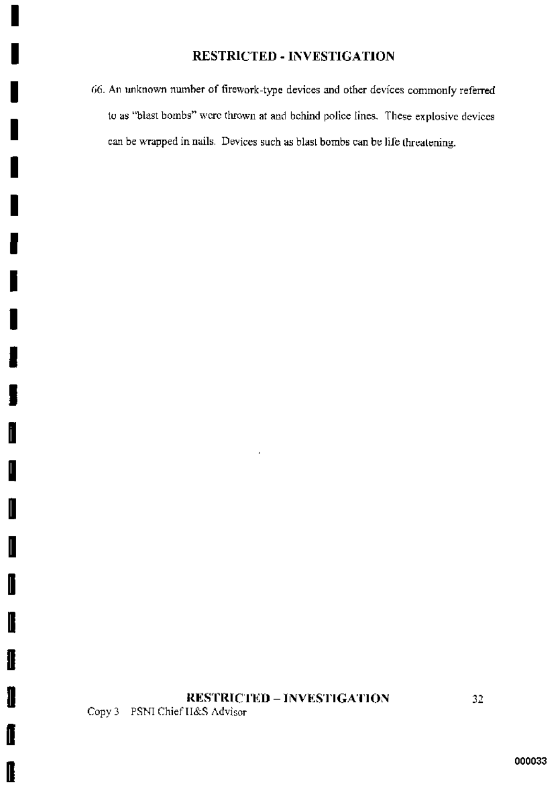66. An unknown number of firework-type devices and other devices commonly referred to as "blast bombs" were thrown at and behind police lines. These explosive devices can be wrapped in nails. Devices such as blast bombs can be life threatening.

# **RESTRICTED - INVESTIGATION**

J,

Copy 3 PSNI Chief H&S Advisor

I

L

I

I

I

I

I

II

I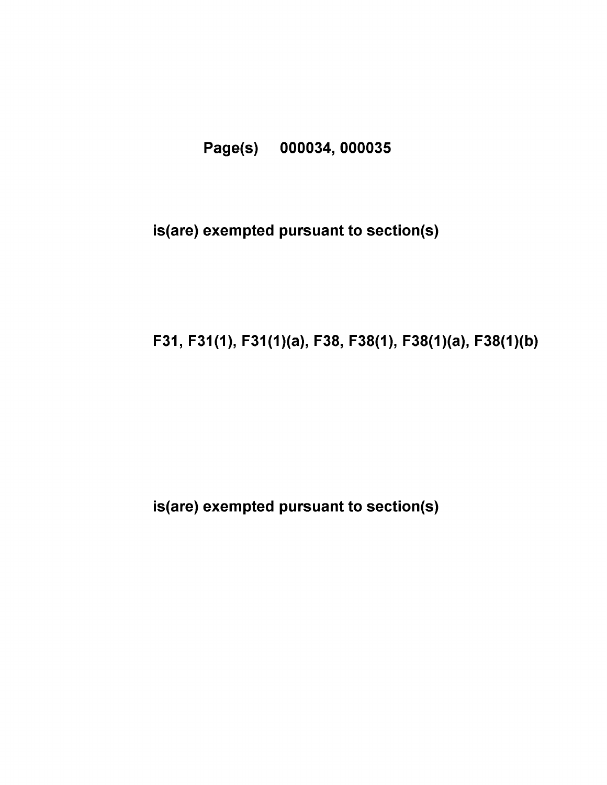# Page(s) 000034, 000035

# is(are) exempted pursuant to section(s)

# F31, F31(1), F31(1)(a), F38, F38(1), F38(1)(a), F38(1)(b)

# is(are) exempted pursuant to section(s)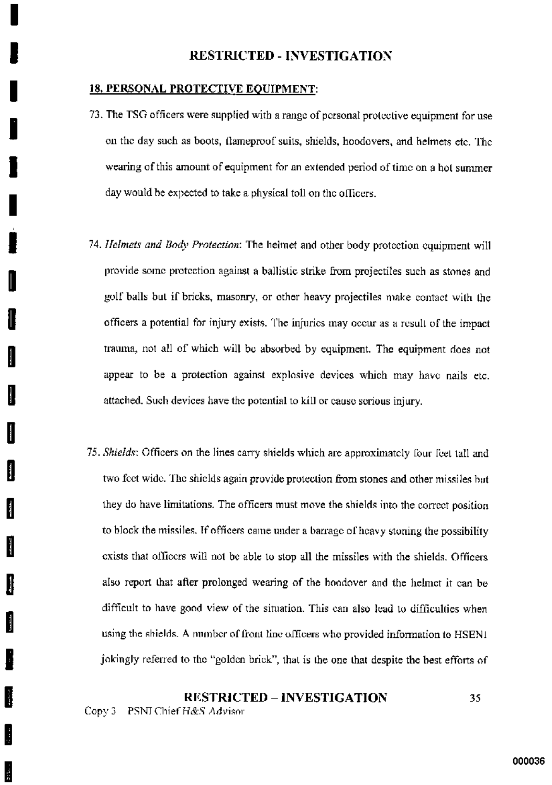### **18. PERSONAL PROTECTIVE EQUIPMENT:**

- 73. The TSG officers were supplied with a range of personal protective equipment for use on the day such as boots, flameproof suits, shields, hoodovers, and helmets etc. The wearing of this amount of equipment for an extended period of time on a hot summer day would be expected to take a physical toll on the officers.
- 74. Helmets and Body Protection: The helmet and other body protection equipment will provide some protection against a ballistic strike from projectiles such as stones and golf balls but if bricks, masonry, or other heavy projectiles make contact with the officers a potential for injury exists. The injuries may occur as a result of the impact trauma, not all of which will be absorbed by equipment. The equipment does not appear to be a protection against explosive devices which may have nails etc. attached. Such devices have the potential to kill or cause serious injury.
- 75. Shields: Officers on the lines carry shields which are approximately four feet tall and two feet wide. The shields again provide protection from stones and other missiles but they do have limitations. The officers must move the shields into the correct position to block the missiles. If officers came under a barrage of heavy stoning the possibility exists that officers will not be able to stop all the missiles with the shields. Officers also report that after prolonged wearing of the hoodover and the helmet it can be difficult to have good view of the situation. This can also lead to difficulties when using the shields. A number of front line officers who provided information to HSEN1 jokingly referred to the "golden brick", that is the one that despite the best efforts of

### **RESTRICTED - INVESTIGATION** 35

Copy 3 PSNI Chief H&S Advisor

ŧ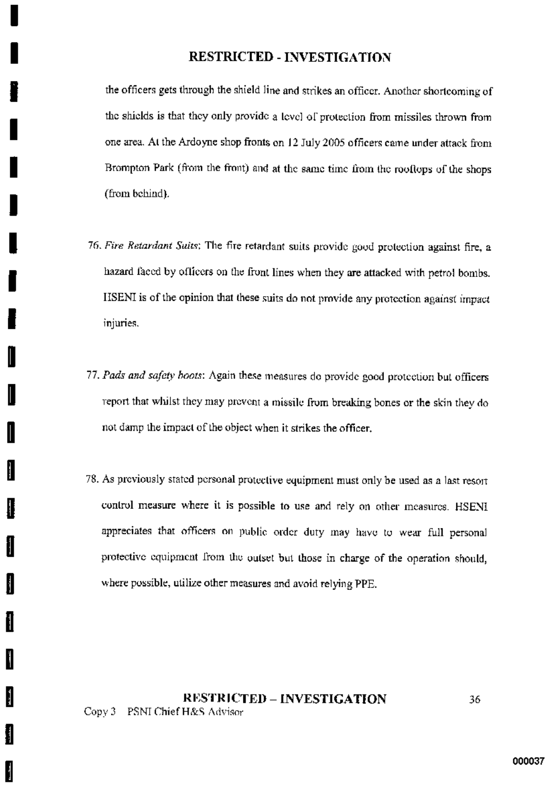the officers gets through the shield line and strikes an officer. Another shortcoming of the shields is that they only provide a level of protection from missiles thrown from one area. At the Ardoyne shop fronts on 12 July 2005 officers came under attack from Brompton Park (from the front) and at the same time from the rooflops of the shops (from behind).

- 76. Fire Retardant Suits: The fire retardant suits provide good protection against fire, a hazard faced by officers on the front lines when they are attacked with petrol bombs. HSENI is of the opinion that these suits do not provide any protection against impact injuries.
- 77. Pads and safety hoots: Again these measures do provide good protection but officers report that whilst they may prevent a missile from breaking bones or the skin they do not damp the impact of the object when it strikes the officer.
- 78. As previously stated personal protective equipment must only be used as a last resort control measure where it is possible to use and rely on other measures. HSENI appreciates that officers on public order duty may have to wear full personal protective equipment from the outset but those in charge of the operation should, where possible, utilize other measures and avoid relying PPE.

## **RESTRICTED - INVESTIGATION** Copy 3 PSNI Chief H&S Advisor

Ħ

 $\frac{1}{2}$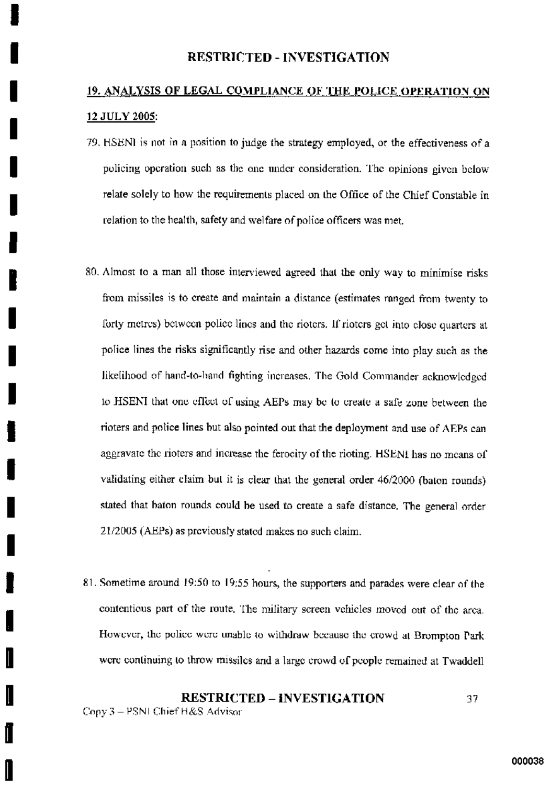# 19. ANALYSIS OF LEGAL COMPLIANCE OF THE POLICE OPERATION ON 12 JULY 2005:

- 79. HSENI is not in a position to judge the strategy employed, or the effectiveness of a policing operation such as the one under consideration. The opinions given below relate solely to how the requirements placed on the Office of the Chief Constable in relation to the health, safety and welfare of police officers was met.
- 80. Almost to a man all those interviewed agreed that the only way to minimise risks from missiles is to create and maintain a distance (estimates ranged from twenty to forty metres) between police lines and the rioters. If rioters get into close quarters at police lines the risks significantly rise and other hazards come into play such as the likelihood of hand-to-hand fighting increases. The Gold Commander acknowledged to HSENI that one effect of using AEPs may be to create a safe zone between the rioters and police lines but also pointed out that the deployment and use of AEPs can aggravate the rioters and increase the ferocity of the rioting. HSENI has no means of validating either claim but it is clear that the general order 46/2000 (baton rounds) stated that baton rounds could be used to create a safe distance. The general order 21/2005 (AEPs) as previously stated makes no such claim.
- 81. Sometime around 19:50 to 19:55 hours, the supporters and parades were clear of the contentious part of the route. The military screen vehicles moved out of the area. However, the police were unable to withdraw because the crowd at Brompton Park were continuing to throw missiles and a large crowd of people remained at Twaddell

#### **RESTRICTED – INVESTIGATION** 37 Copy 3 - PSNI Chief H&S Advisor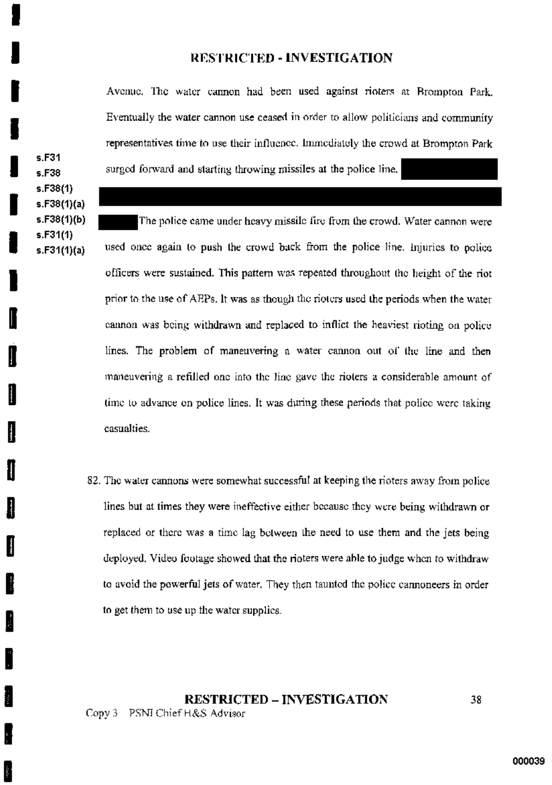Avenue, The water cannon had been used against rioters at Brompton Park. Eventually the water cannon use ceased in order to allow politicians and community representatives time to use their influence. Immediately the crowd at Brompton Park surged forward and starting throwing missiles at the police line.

 $s.F31$ s.F38  $s.F38(1)$  $s.F38(1)(a)$ s.F38(1)(b) s.F31(1)  $s.F31(1)(a)$ 

The police came under heavy missile fire from the crowd. Water cannon were used once again to push the crowd back from the police line, injuries to police officers were sustained. This pattern was repeated throughout the height of the riot prior to the use of AEPs. It was as though the rioters used the periods when the water cannon was being withdrawn and replaced to inflict the heaviest rioting on police lines. The problem of maneuvering a water cannon out of the line and then maneuvering a refilled one into the line gave the rioters a considerable amount of time to advance on police lines. It was during these periods that police were taking casualties.

82. The water cannons were somewhat successful at keeping the rioters away from police lines but at times they were ineffective either because they were being withdrawn or replaced or there was a time lag between the need to use them and the jets being deployed. Video footage showed that the rioters were able to judge when to withdraw to avoid the powerful jets of water. They then taunted the police cannoneers in order to get them to use up the water supplies.

**RESTRICTED – INVESTIGATION** Copy 3 PSNI Chief H&S Advisor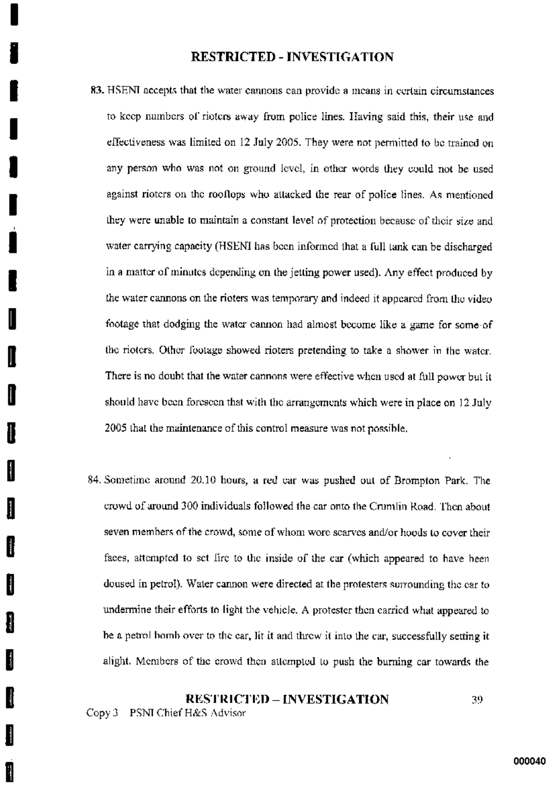- 83. HSENI accepts that the water cannons can provide a means in certain circumstances to keep numbers of rioters away from police lines. Having said this, their use and effectiveness was limited on 12 July 2005. They were not permitted to be trained on any person who was not on ground level, in other words they could not be used against rioters on the rooflops who attacked the rear of police lines. As mentioned they were unable to maintain a constant level of protection because of their size and water carrying capacity (HSENI has been informed that a full tank can be discharged in a matter of minutes depending on the jetting power used). Any effect produced by the water cannons on the rioters was temporary and indeed it appeared from the video footage that dodging the water cannon had almost become like a game for some of the rioters. Other footage showed rioters pretending to take a shower in the water. There is no doubt that the water cannons were effective when used at full power but it should have been forescen that with the arrangements which were in place on 12 July 2005 that the maintenance of this control measure was not possible.
- 84. Sometime around 20.10 hours, a red car was pushed out of Brompton Park. The crowd of around 300 individuals followed the car onto the Crumlin Road. Then about seven members of the crowd, some of whom wore scarves and/or hoods to cover their faces, attempted to set fire to the inside of the car (which appeared to have been doused in petrol). Water cannon were directed at the protesters surrounding the car to undermine their efforts to light the vehicle. A protester then carried what appeared to be a petrol bomb over to the ear, lit it and throw it into the car, successfully setting it alight. Members of the crowd then attempted to push the burning car towards the

### **RESTRICTED – INVESTIGATION** 39

Copy 3 PSNI Chief H&S Advisor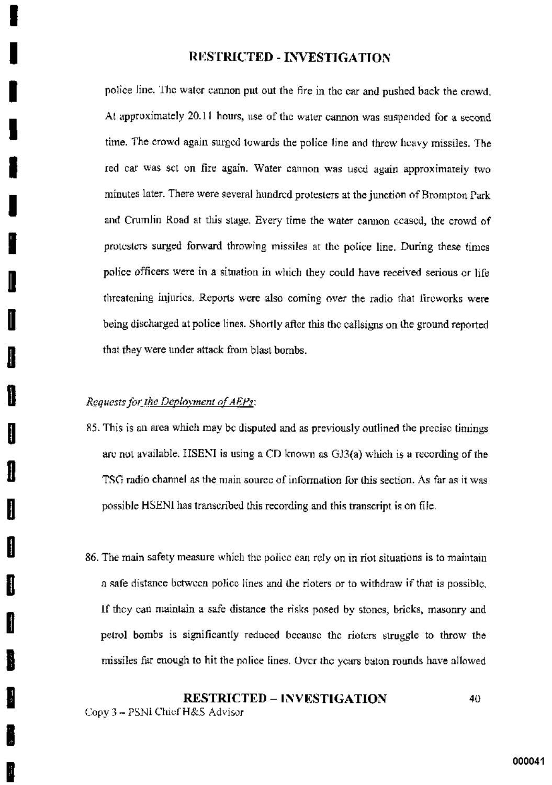police line. The water cannon put out the fire in the car and pushed back the crowd. At approximately 20.11 hours, use of the water cannon was suspended for a second time. The crowd again surged towards the police line and threw heavy missiles. The red car was set on fire again. Water cannon was used again approximately two minutes later. There were several hundred protesters at the junction of Brompton Park and Crumlin Road at this stage. Every time the water cannon ccased, the crowd of protesters surged forward throwing missiles at the police line. During these times police officers were in a situation in which they could have received serious or life threatening injuries. Reports were also coming over the radio that fireworks were being discharged at police lines. Shortly after this the callsigns on the ground reported that they were under attack from blast bombs.

### Requests for the Deployment of AEPs:

į

H

H

- 85. This is an area which may be disputed and as previously outlined the precise timings are not available. HSENI is using a CD known as GJ3(a) which is a recording of the TSG radio channel as the main source of information for this section. As far as it was possible HSENI has transcribed this recording and this transcript is on file.
- 86. The main safety measure which the police can rely on in riot situations is to maintain a safe distance between police lines and the rioters or to withdraw if that is possible, If they can maintain a safe distance the risks posed by stones, bricks, masonry and petrol bombs is significantly reduced because the rioters struggle to throw the missiles far enough to hit the police lines. Over the years baton rounds have allowed

### **RESTRICTED - INVESTIGATION** 40

Copy 3 - PSNI Chief H&S Advisor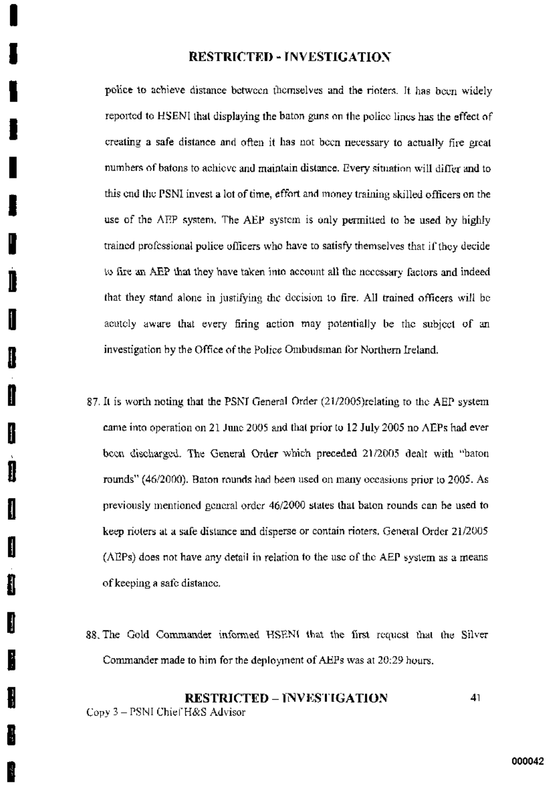police to achieve distance between themselves and the rioters. It has been widely reported to HSENI that displaying the baton guns on the police lines has the effect of creating a safe distance and often it has not been necessary to actually fire great numbers of batons to achieve and maintain distance. Every situation will differ and to this end the PSNI invest a lot of time, effort and money training skilled officers on the use of the AEP system. The AEP system is only permitted to be used by highly trained professional police officers who have to satisfy themselves that if they decide to fire an AEP that they have taken into account all the necessary factors and indeed that they stand alone in justifying the decision to fire. All trained officers will be acutely aware that every firing action may potentially be the subject of an investigation by the Office of the Police Ombudsman for Northern Ireland.

- 87. It is worth noting that the PSNI General Order (21/2005) relating to the AEP system came into operation on 21 June 2005 and that prior to 12 July 2005 no AEPs had ever been discharged. The General Order which preceded 21/2005 dealt with "baton rounds" (46/2000). Baton rounds had been used on many occasions prior to 2005. As previously mentioned general order 46/2000 states that baton rounds can be used to keep rioters at a safe distance and disperse or contain rioters. General Order 21/2005 (AEPs) does not have any detail in relation to the use of the AEP system as a means of keeping a safe distance.
- 88. The Gold Commander informed HSENI that the first request that the Silver Commander made to him for the deployment of AEPs was at 20:29 hours.

### **RESTRICTED - INVESTIGATION** 41 Copy 3 - PSNI Chief H&S Advisor

I

Í

ı

H

I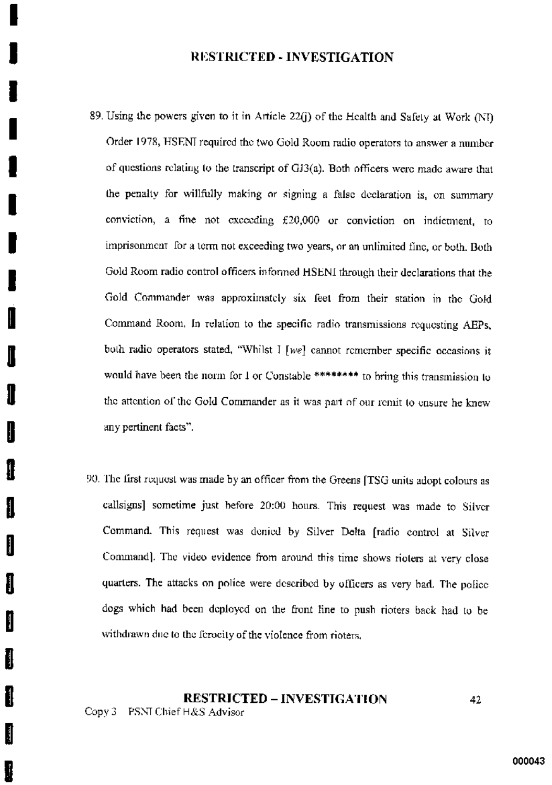- 89. Using the powers given to it in Article 22(j) of the Health and Safety at Work (NI) Order 1978, HSENI required the two Gold Room radio operators to answer a number of questions relating to the transcript of  $GJ3(a)$ . Both officers were made aware that the penalty for willfully making or signing a false declaration is, on summary conviction, a fine not exceeding  $£20,000$  or conviction on indictment, to imprisonment for a term not exceeding two years, or an unlimited fine, or both. Both Gold Room radio control officers informed HSENI through their declarations that the Gold Commander was approximately six feet from their station in the Gold Command Room. In relation to the specific radio transmissions requesting AEPs, both radio operators stated, "Whilst I [we] cannot remember specific occasions it would have been the norm for 1 or Constable \*\*\*\*\*\*\*\* to bring this transmission to the attention of the Gold Commander as it was part of our remit to ensure he knew any pertinent facts".
- 90. The first request was made by an officer from the Greens [TSG units adopt colours as callsigns] sometime just before 20:00 hours. This request was made to Silver Command. This request was denied by Silver Delta [radio control at Silver Command). The video evidence from around this time shows rioters at very close quarters. The attacks on police were described by officers as very bad. The police dogs which had been deployed on the front line to push rioters back had to be withdrawn due to the ferocity of the violence from rioters,

# **RESTRICTED – INVESTIGATION**

Copy 3 PSNT Chief H&S Advisor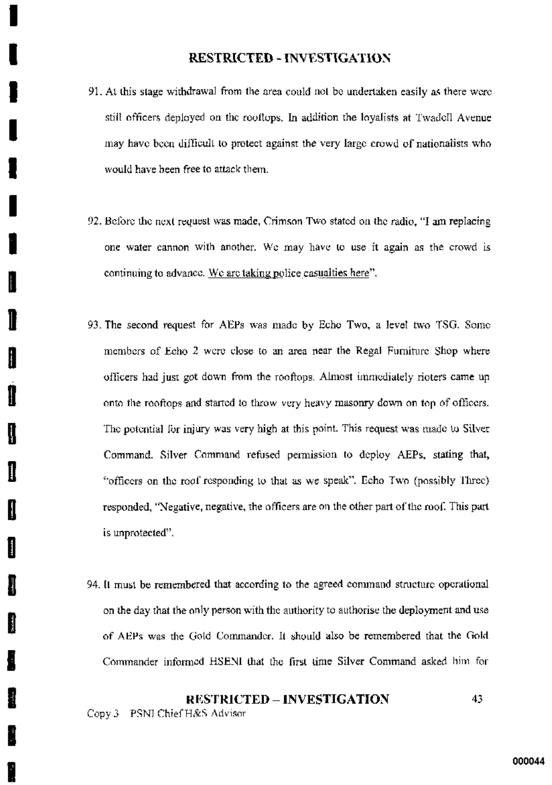- 91. At this stage withdrawal from the area could not be undertaken easily as there were still officers deployed on the rooflops. In addition the loyalists at Twadell Avenue may have been difficult to protect against the very large crowd of nationalists who would have been free to attack them.
- 92. Before the next request was made, Crimson Two stated on the radio, "I am replacing one water cannon with another. We may have to use it again as the crowd is continuing to advance. We are taking police casualties here".
- 93. The second request for AEPs was made by Echo Two, a level two TSG. Some members of Echo 2 were close to an area near the Regal Furniture Shop where officers had just got down from the rooftops. Almost immediately rioters came up onto the rooftops and started to throw very heavy masonry down on top of officers. The potential for injury was very high at this point. This request was made to Silver Command. Silver Command refused permission to deploy AEPs, stating that, "officers on the roof responding to that as we speak". Echo Two (possibly Three) responded, "Negative, negative, the officers are on the other part of the roof. This part is unprotected".
- 94. It must be remembered that according to the agreed command structure operational on the day that the only person with the authority to authorise the deployment and use of AEPs was the Gold Commander. It should also be remembered that the Gold Commander informed HSENI that the first time Silver Command asked him for

### **RESTRICTED - INVESTIGATION** 43.

Copy 3 PSNI Chief H&S Advisor

I

W

Ш

H

I

H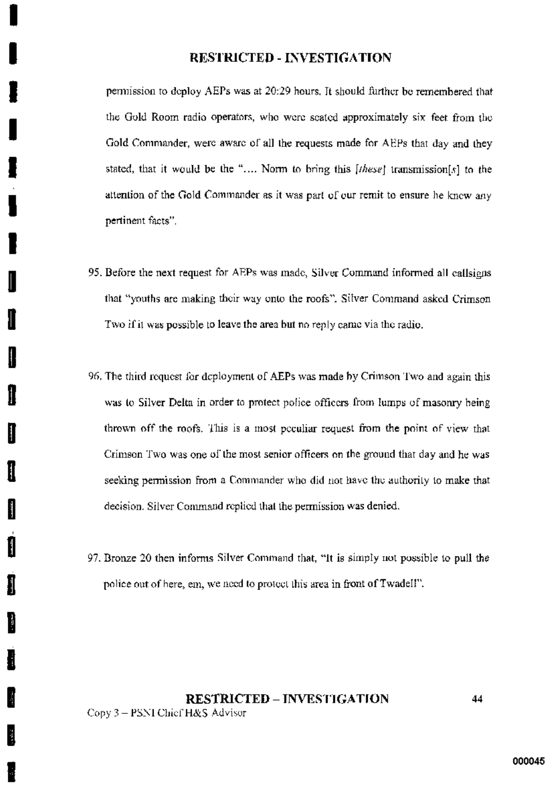permission to deploy AEPs was at 20:29 hours. It should further be remembered that the Gold Room radio operators, who were scated approximately six feet from the Gold Commander, were aware of all the requests made for AEPs that day and they stated, that it would be the ".... Norm to bring this [these] transmission[s] to the attention of the Gold Commander as it was part of our remit to ensure he knew any pertinent facts".

95. Before the next request for AEPs was made, Silver Command informed all callsigns that "youths are making their way onto the roofs". Silver Command asked Crimson Two if it was possible to leave the area but no reply came via the radio.

I

I

I

H

I

H

- 96. The third request for deployment of AEPs was made by Crimson Two and again this was to Silver Delta in order to protect police officers from lumps of masonry being thrown off the roofs. This is a most peculiar request from the point of view that Crimson Two was one of the most senior officers on the ground that day and he was seeking permission from a Commander who did not have the authority to make that decision. Silver Command replied that the permission was denied.
- 97. Bronze 20 then informs Silver Command that, "It is simply not possible to pull the police out of here, em, we need to protect this area in front of Twadell".

# **RESTRICTED - INVESTIGATION** Copy 3 - PSNI Chief H&S Advisor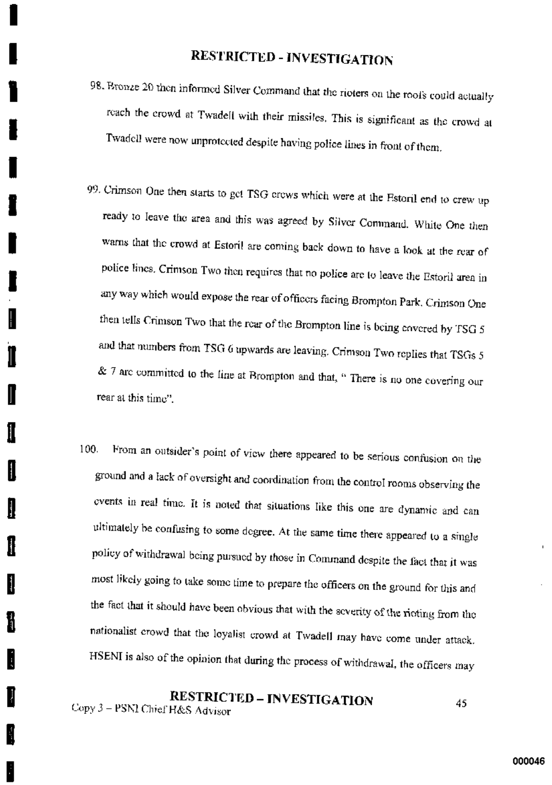- 98. Bronze 20 then informed Silver Command that the rioters on the root's could actually reach the crowd at Twadell with their missiles. This is significant as the crowd at Twadell were now unprotected despite having police lines in front of them.
- 99. Crimson One then starts to get TSG crows which were at the Estoril end to crew up ready to leave the area and this was agreed by Silver Command. White One then warns that the crowd at Estoril are coming back down to have a look at the rear of police lines. Crimson Two then requires that no police are to leave the Estoril area in any way which would expose the rear of officers facing Brompton Park. Crimson One then tells Crimson Two that the rear of the Brompton line is being covered by TSG 5 and that numbers from TSG 6 upwards are leaving. Crimson Two replies that TSGs 5 & 7 are committed to the line at Brompton and that, " There is no one covering our rear at this time".

I

II

N

From an outsider's point of view there appeared to be serious confusion on the 100. ground and a lack of oversight and coordination from the control rooms observing the events in real time. It is noted that situations like this one are dynamic and can ultimately be confusing to some degree. At the same time there appeared to a single policy of withdrawal being pursued by those in Command despite the fact that it was most likely going to take some time to prepare the officers on the ground for this and the fact that it should have been obvious that with the severity of the rioting from the nationalist crowd that the loyalist crowd at Twadell may have come under attack. HSENI is also of the opinion that during the process of withdrawal, the officers may

**RESTRICTED - INVESTIGATION** 45 Copy 3 - PSNI Chief H&S Advisor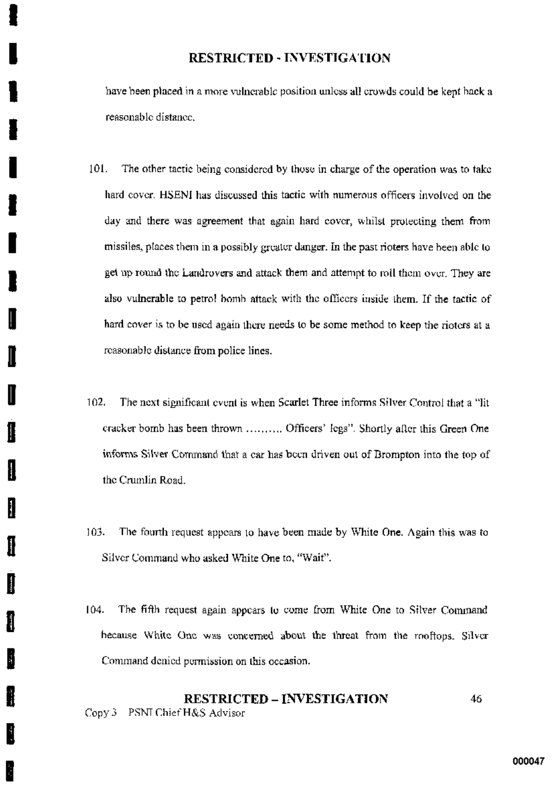have been placed in a more vulnerable position unless all crowds could be kent back a reasonable distance.

- 101. The other tactic being considered by those in charge of the operation was to take hard cover. HSENI has discussed this tactic with numerous officers involved on the day and there was agreement that again hard cover, whilst protecting them from missiles, places them in a possibly greater danger. In the past rioters have been able to get up round the Landrovers and attack them and attempt to roll them over. They are also vulnerable to petrol bomb attack with the officers inside them. If the tactic of hard cover is to be used again there needs to be some method to keep the rioters at a reasonable distance from police lines.
- 102. The next significant event is when Scarlet Three informs Silver Control that a "lit cracker bomb has been thrown .......... Officers' legs". Shortly after this Green One informs Silver Command that a car has been driven out of Brompton into the top of the Crumlin Road.

Ι

I

II

H

- 103. The fourth request appears to have been made by White One. Again this was to Silver Command who asked White One to, "Wait".
- $104.$ The fifth request again appears to come from White One to Silver Command because White One was concerned about the threat from the moftops. Silver Command denied permission on this occasion.

### **RESTRICTED - INVESTIGATION** 46 Copy 3 PSNI Chief H&S Advisor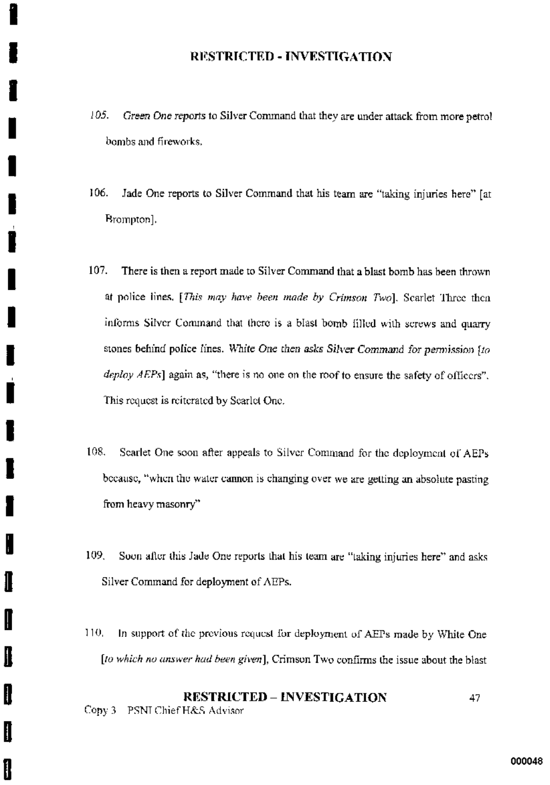- 105. Green One reports to Silver Command that they are under attack from more petrol bombs and fireworks.
- 106. Jade One reports to Silver Command that his team are "taking injuries here" [at Brompton].
- 107. There is then a report made to Silver Command that a blast bomb has been thrown at police lines. [This may have been made by Crimson Two]. Scarlet Three then informs Silver Command that there is a blast bomb filled with screws and quarry stones behind police lines. White One then asks Silver Command for permission fto  $deplov AEPs$ ] again as, "there is no one on the roof to ensure the safety of officers". This request is reiterated by Searlet One.
- Searlet One soon after appeals to Silver Command for the deployment of AEPs 108. because, "when the water cannon is changing over we are getting an absolute pasting from heavy masonry"
- 109. Soon after this Jade One reports that his team are "taking injuries here" and asks Silver Command for deployment of AEPs.
- In support of the previous request for deployment of AEPs made by White One 110. [to which no answer had been given], Crimson Two confirms the issue about the blast

J

I

ĺ

### **RESTRICTED - INVESTIGATION** 47 Copy 3 PSNI Chief H&S Advisor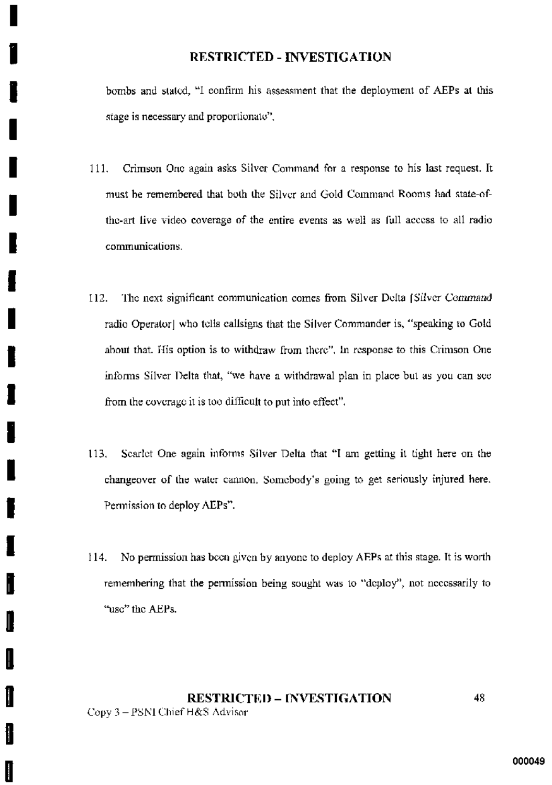bombs and stated, "I confirm his assessment that the deployment of AEPs at this stage is necessary and proportionate".

- Crimson One again asks Silver Command for a response to his last request. It 111. must be remembered that both the Silver and Gold Command Rooms had state-ofthe-art live video coverage of the entire events as well as full access to all radio communications.
- The next significant communication comes from Silver Delta (Silver Command 112. radio Operator] who tells callsigns that the Silver Commander is, "speaking to Gold about that. His option is to withdraw from there", In response to this Crimson One informs Silver Delta that, "we have a withdrawal plan in place but as you can see from the coverage it is too difficult to put into effect".
- Searlet One again informs Silver Delta that "I am getting it tight here on the 113. changeover of the water cannon, Somebody's going to get seriously injured here. Permission to deploy AEPs".
- No permission has been given by anyone to deploy AEPs at this stage. It is worth 114. remembering that the permission being sought was to "deploy", not necessarily to "use" the AEPs.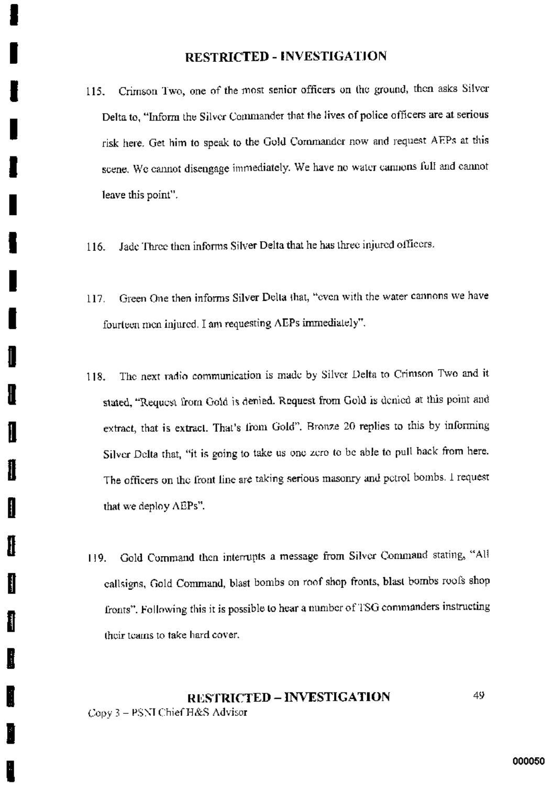- Crimson Two, one of the most senior officers on the ground, then asks Silver 115. Delta to, "Inform the Silver Commander that the lives of police officers are at serious risk here. Get him to speak to the Gold Commander now and request AEPs at this scene. We cannot disengage immediately. We have no water cannons full and cannot leave this point".
- Jade Three then informs Silver Delta that he has three injured officers. 116.
- Green One then informs Silver Delta that, "even with the water cannons we have 117. fourteen men injured. I am requesting AEPs immediately".
- The next radio communication is made by Silver Delta to Crimson Two and it 118. stated, "Request from Gold is denied. Request from Gold is denied at this point and extract, that is extract. That's from Gold". Bronze 20 replies to this by informing Silver Delta that, "it is going to take us one zero to be able to pull back from here. The officers on the front line are taking serious masonry and petrol bombs. I request that we deploy AEPs".
- Gold Command then interrupts a message from Silver Command stating, "All 119. callsigns, Gold Command, blast bombs on roof shop fronts, blast bombs roofs shop fronts". Following this it is possible to hear a number of TSG commanders instructing their teams to take hard cover.

### 49 **RESTRICTED - INVESTIGATION** Copy 3 - PSNI Chief H&S Advisor

Ш

I

I

Il

I

I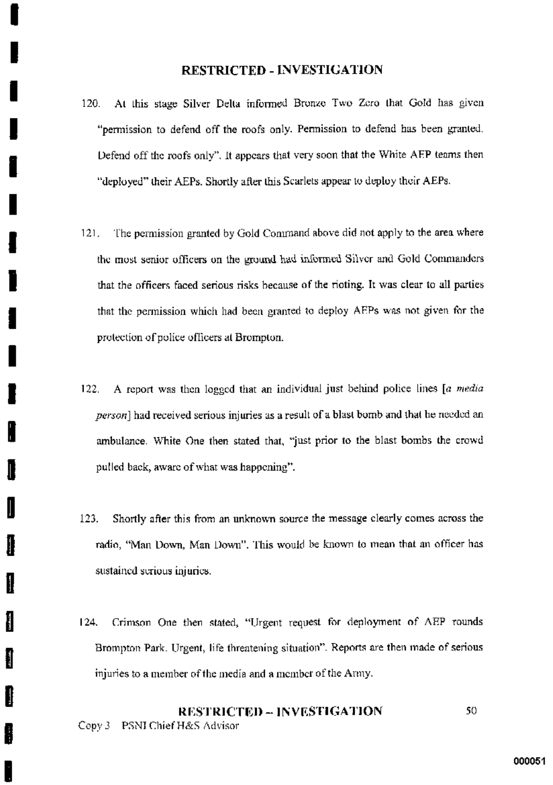- At this stage Silver Delta informed Bronze Two Zero that Gold has given  $120<sub>1</sub>$ "permission to defend off the roofs only. Permission to defend has been granted. Defend off the roofs only". It appears that very soon that the White AEP teams then "deployed" their AEPs. Shortly after this Scarlets appear to deploy their AEPs.
- The permission granted by Gold Command above did not apply to the area where  $121.$ the most senior officers on the ground had informed Silver and Gold Commanders that the officers faced serious risks because of the rioting. It was clear to all parties that the permission which had been granted to deploy AEPs was not given for the protection of police officers at Brompton.
- A report was then logged that an individual just behind police lines [a media  $122.$ person] had received serious injuries as a result of a blast bomb and that he needed an ambulance. White One then stated that, "just prior to the blast bombs the crowd pulled back, aware of what was happening".
- 123. Shortly after this from an unknown source the message clearly comes across the radio, "Man Down, Man Down". This would be known to mean that an officer has sustained serious injuries.

Ħ

ł

Crimson One then stated, "Urgent request for deployment of AEP rounds  $124.$ Brompton Park. Urgent, life threatening situation". Reports are then made of serious injuries to a member of the media and a member of the Army.

### **RESTRICTED - INVESTIGATION** 50. Copy 3 PSNI Chief H&S Advisor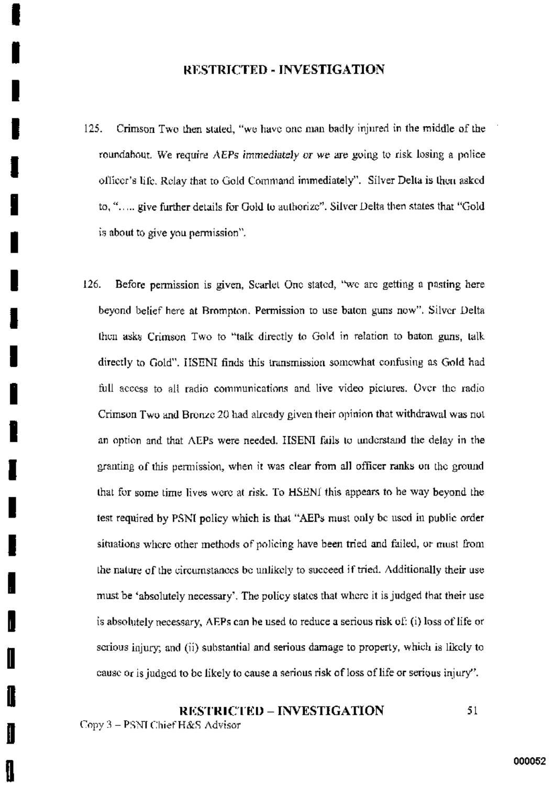- $125.$ Crimson Two then stated, "we have one man badly injured in the middle of the roundabout. We require AEPs immediately or we are going to risk losing a police officer's life. Relay that to Gold Command immediately". Silver Delta is then asked to, "..... give further details for Gold to authorize". Silver Delta then states that "Gold is about to give you permission".
- $126.$ Before permission is given, Scarlet One stated, "we are getting a pasting here beyond belief here at Brompton. Permission to use baton guns now". Silver Delta then asks Crimson Two to "talk directly to Gold in relation to baton guns, talk directly to Gold". HSENI finds this transmission somewhat confusing as Gold had full access to all radio communications and live video pictures. Over the radio Crimson Two and Bronze 20 had already given their opinion that withdrawal was not an option and that AEPs were needed. HSENI fails to understand the delay in the granting of this permission, when it was clear from all officer ranks on the ground that for some time lives were at risk. To HSENI this appears to be way beyond the test required by PSNI policy which is that "AEPs must only be used in public order situations where other methods of policing have been tried and failed, or must from the nature of the circumstances be unlikely to succeed if tried. Additionally their use must be 'absolutely necessary'. The policy states that where it is judged that their use is absolutely necessary, AEPs can be used to reduce a serious risk of: (i) loss of life or serious injury; and (ii) substantial and serious damage to property, which is likely to cause or is judged to be likely to cause a serious risk of loss of life or serious injury".

### **RESTRICTED - INVESTIGATION** 51 Copy 3 - PSNI Chief H&S Advisor

I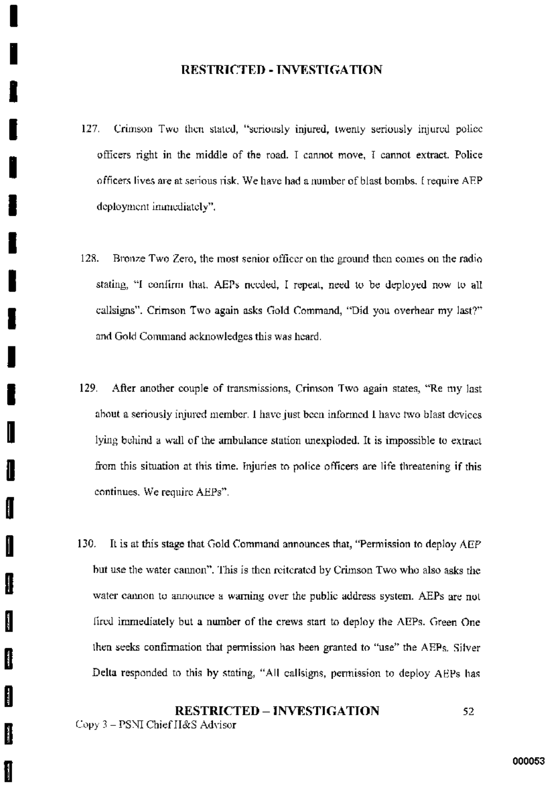- 127. Crimson Two then stated, "seriously injured, twenty seriously injured police officers right in the middle of the road. I cannot move, I cannot extract. Police officers lives are at serious risk. We have had a number of blast bombs, I require AEP deployment immediately".
- 128. Bronze Two Zero, the most senior officer on the ground then comes on the radio stating, "I confirm that, AEPs needed, I repeat, need to be deployed now to all callsigns". Crimson Two again asks Gold Command, "Did you overhear my last?" and Gold Command acknowledges this was heard.
- 129. After another couple of transmissions, Crimson Two again states, "Re my last about a seriously injured member. I have just been informed I have two blast devices lying behind a wall of the ambulance station unexploded. It is impossible to extract from this situation at this time. Injuries to police officers are life threatening if this continues. We require AEPs".
- 130. It is at this stage that Gold Command announces that, "Permission to deploy AEP but use the water cannon". This is then reiterated by Crimson Two who also asks the water cannon to announce a warning over the public address system. AEPs are not fired immediately but a number of the crews start to deploy the AEPs. Green One then seeks confirmation that permission has been granted to "use" the AEPs. Silver Delta responded to this by stating, "All callsigns, permission to deploy AEPs has

### **RESTRICTED - INVESTIGATION** 52.

Copy 3 - PSNI Chief H&S Advisor

ŧ

ţ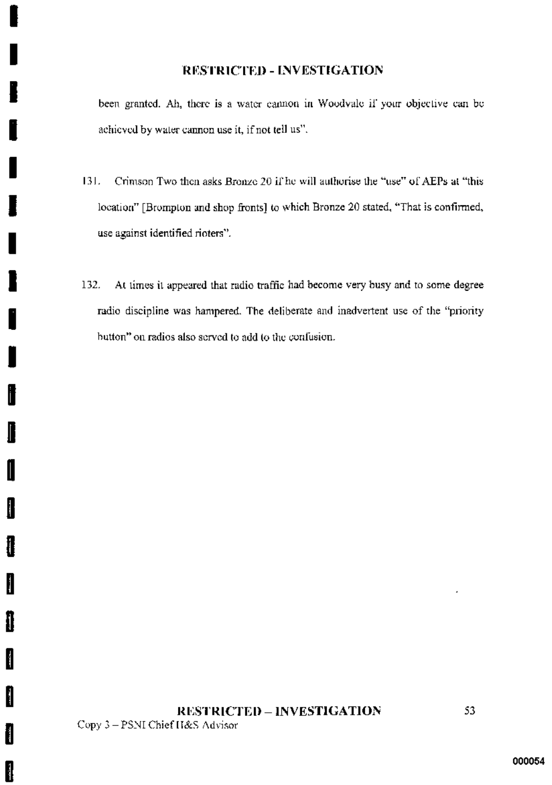been granted. Ah, there is a water cannon in Woodvale if your objective can be achieved by water cannon use it, if not tell us".

- Crimson Two then asks Bronze 20 if he will authorise the "use" of AEPs at "this 131. location" [Brompton and shop fronts] to which Bronze 20 stated, "That is confirmed, use against identified rioters".
- 132. At times it appeared that radio traffic had become very busy and to some degree radio discipline was hampered. The deliberate and inadvertent use of the "priority button" on radios also served to add to the confusion.

i

 $\mathbf \cdot$ 

I

I

Į

I

H

Ì

Î

I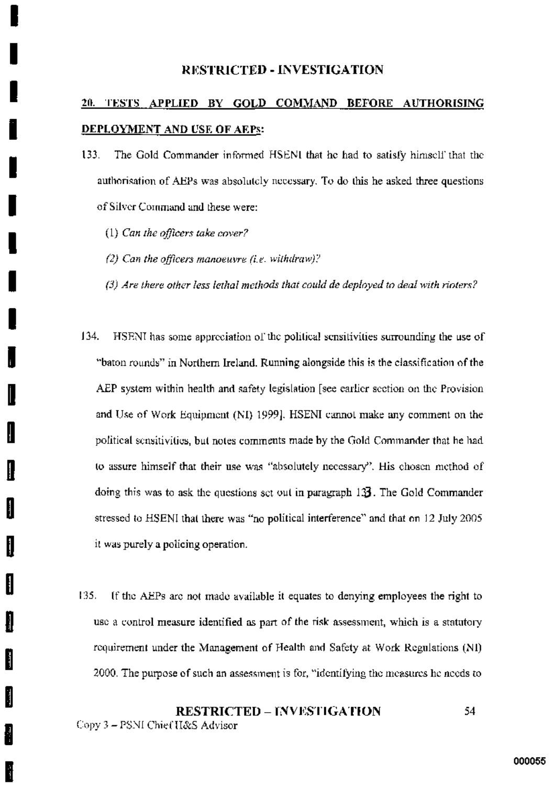# 20. TESTS APPLIED BY GOLD COMMAND BEFORE AUTHORISING DEPLOYMENT AND USE OF AEPS:

- The Gold Commander informed HSENI that he had to satisfy himself that the 133. authorisation of AEPs was absolutely necessary. To do this he asked three questions of Silver Command and these were:
	- $(1)$  Can the officers take cover?

H

- (2) Can the officers manoeuvre (i.e. withdraw)?
- $(3)$  Are there other less lethal methods that could de deployed to deal with rioters?
- $134.$ HSENI has some appreciation of the political sensitivities surrounding the use of "baton rounds" in Northern Ireland. Running alongside this is the classification of the AEP system within health and safety legislation [see earlier section on the Provision and Use of Work Equipment (NI) 1999]. HSENI cannot make any comment on the political sensitivities, but notes comments made by the Gold Commander that he had to assure himself that their use was "absolutely necessary". His chosen method of doing this was to ask the questions set out in paragraph 133. The Gold Commander stressed to HSENI that there was "no political interference" and that on 12 July 2005 it was purely a policing operation.
- 135. If the AEPs are not made available it equates to denying employees the right to use a control measure identified as part of the risk assessment, which is a statutory requirement under the Management of Health and Safety at Work Regulations (NI) 2000. The purpose of such an assessment is for, "identifying the measures he needs to

### **RESTRICTED - INVESTIGATION** 54. Copy 3 - PSNI Chief H&S Advisor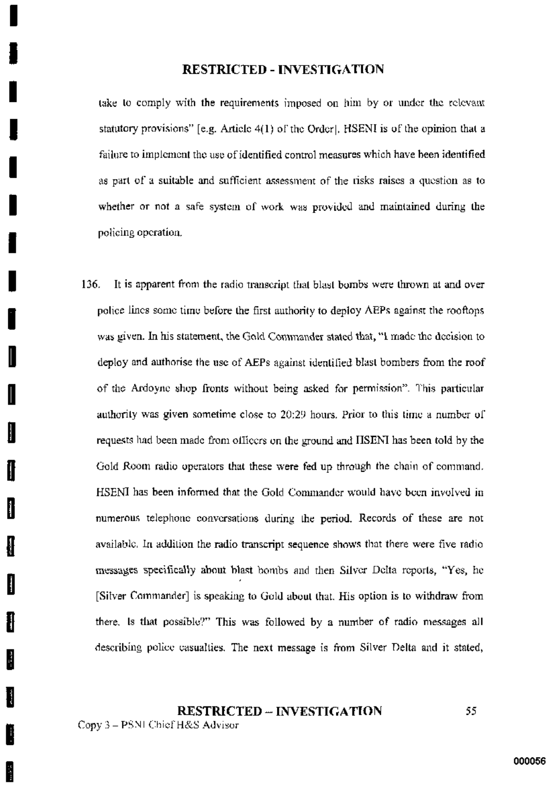take to comply with the requirements imposed on him by or under the relevant statutory provisions" [e.g. Article 4(1) of the Order]. HSENI is of the opinion that a failure to implement the use of identified control measures which have been identified as part of a suitable and sufficient assessment of the risks raises a question as to whether or not a safe system of work was provided and maintained during the policing operation.

136. It is apparent from the radio transcript that blast bombs were thrown at and over police lines some time before the first authority to deploy AEPs against the rooftons was given. In his statement, the Gold Commander stated that, "I made the decision to deploy and authorise the use of AEPs against identified blast bombers from the roof of the Ardoyne shop fronts without being asked for permission". This particular authority was given sometime close to 20:29 hours. Prior to this time a number of requests had been made from officers on the ground and HSENI has been told by the Gold Room radio operators that these were fed up through the chain of command. HSENI has been informed that the Gold Commander would have been involved in numerous telephone conversations during the period. Records of these are not available. In addition the radio transcript sequence shows that there were five radio messages specifically about blast bombs and then Silver Delta reports, "Yes, he [Silver Commander] is speaking to Gold about that. His option is to withdraw from there, is that possible?" This was followed by a number of radio messages all describing police casualties. The next message is from Silver Delta and it stated,

# **RESTRICTED - INVESTIGATION**

Copy 3 - PSNI Chief H&S Advisor

I

ţ

**Barbara**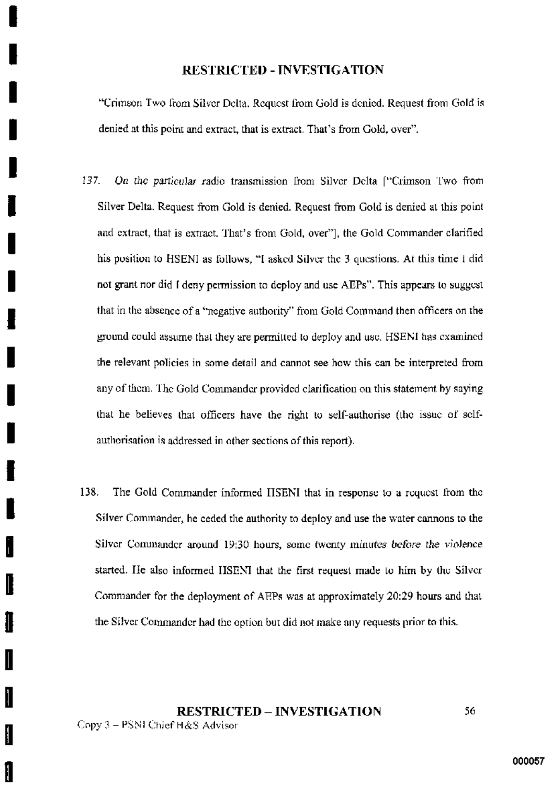"Crimson Two from Silver Delta, Request from Gold is denied. Request from Gold is denied at this point and extract, that is extract. That's from Gold, over".

- 137. On the particular radio transmission from Silver Delta ["Crimson Two from Silver Delta. Request from Gold is denied. Request from Gold is denied at this point and extract, that is extract. That's from Gold, over"], the Gold Commander clarified his position to HSENI as follows, "I asked Silver the 3 questions. At this time I did not grant nor did I deny permission to deploy and use AEPs". This appears to suggest that in the absence of a "negative authority" from Gold Command then officers on the ground could assume that they are permitted to deploy and use. HSENI has examined the relevant policies in some detail and cannot see how this can be interpreted from any of them. The Gold Commander provided clarification on this statement by saying that he believes that officers have the right to self-authorise (the issue of selfauthorisation is addressed in other sections of this report).
- 138. The Gold Commander informed HSENI that in response to a request from the Silver Commander, he ceded the authority to deploy and use the water cannons to the Silver Commander around 19:30 hours, some twenty minutes before the violence started. He also informed HSENI that the first request made to him by the Silver Commander for the deployment of AEPs was at approximately 20:29 hours and that the Silver Commander had the option but did not make any requests prior to this.

**RESTRICTED - INVESTIGATION** Copy 3 - PSNI Chief H&S Advisor

56.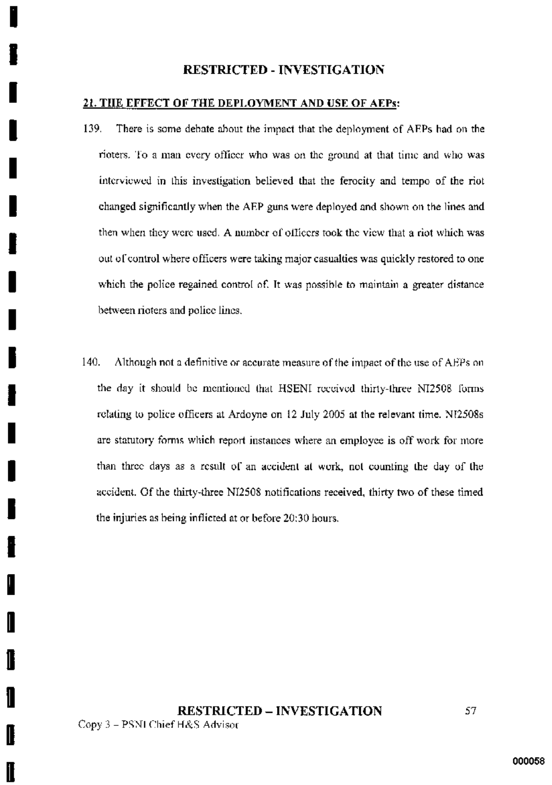### 21. THE EFFECT OF THE DEPLOYMENT AND USE OF AEPS:

- 139. There is some debate about the impact that the deployment of AEPs had on the rioters. To a man every officer who was on the ground at that time and who was interviewed in this investigation believed that the ferocity and tempo of the riot changed significantly when the AEP guns were deployed and shown on the lines and then when they were used. A number of officers took the view that a riot which was out of control where officers were taking major casualties was quickly restored to one which the police regained control of. It was possible to maintain a greater distance between rioters and police lines.
- 140. Although not a definitive or accurate measure of the impact of the use of AEPs on the day it should be mentioned that HSENI received thirty-three NI2508 forms relating to police officers at Ardoyne on 12 July 2005 at the relevant time. NI2508s are statutory forms which report instances where an employee is off work for more than three days as a result of an accident at work, not counting the day of the accident. Of the thirty-three NI2508 notifications received, thirty two of these timed the injuries as being inflicted at or before 20:30 hours.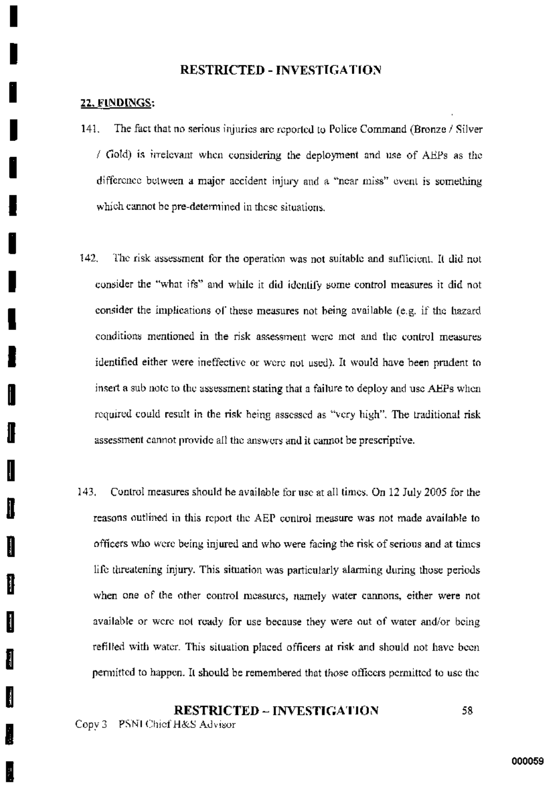### 22. FINDINGS:

- $141.$ The fact that no serious injuries are reported to Police Command (Bronze / Silver / Gold) is irrelevant when considering the deployment and use of AEPs as the difference between a major accident injury and a "near miss" event is something which cannot be pre-determined in these situations.
- 142. The risk assessment for the operation was not suitable and sufficient. It did not consider the "what ifs" and while it did identify some control measures it did not consider the implications of these measures not being available (e.g. if the hazard conditions mentioned in the risk assessment were met and the control measures identified either were ineffective or were not used). It would have been prudent to insert a sub note to the assessment stating that a failure to deploy and use AEPs when required could result in the risk being assessed as "very high". The traditional risk assessment cannot provide all the answers and it cannot be prescriptive.
- 143. Control measures should be available for use at all times. On 12 July 2005 for the reasons outlined in this report the AEP control measure was not made available to officers who were being injured and who were facing the risk of serious and at times life threatening injury. This situation was particularly alarming during those periods when one of the other control measures, namely water cannons, either were not available or were not ready for use because they were out of water and/or being refilled with water. This situation placed officers at risk and should not have been permitted to happen. It should be remembered that those officers permitted to use the

#### **RESTRICTED – INVESTIGATION** 58.

Copy 3 PSNI Chief H&S Advisor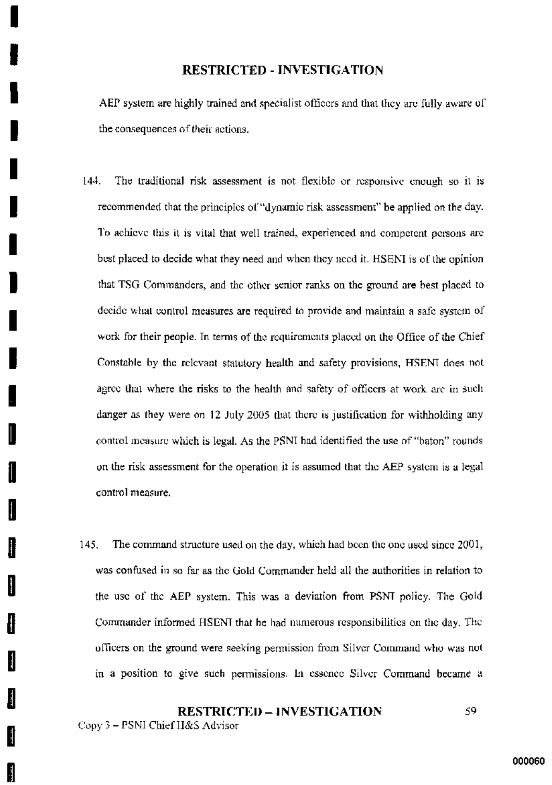AEP system are highly trained and specialist officers and that they are fully aware of the consequences of their actions.

- 144. The traditional risk assessment is not flexible or responsive enough so it is recommended that the principles of "dynamic risk assessment" be applied on the day. To achieve this it is vital that well trained, experienced and competent persons are best placed to decide what they need and when they need it. HSENI is of the opinion that TSG Commanders, and the other senior ranks on the ground are best placed to decide what control measures are required to provide and maintain a safe system of work for their people. In terms of the requirements placed on the Office of the Chief Constable by the relevant statutory health and safety provisions, HSENI does not agree that where the risks to the health and safety of officers at work are in such danger as they were on 12 July 2005 that there is justification for withholding any control measure which is legal. As the PSNI had identified the use of "baton" rounds on the risk assessment for the operation it is assumed that the AEP system is a legal control measure.
- The command structure used on the day, which had been the one used since 2001, 145. was confused in so far as the Gold Commander held all the authorities in relation to the use of the AEP system. This was a deviation from PSNT policy. The Gold Commander informed HSENI that he had numerous responsibilities on the day. The officers on the ground were seeking permission from Silver Command who was not in a position to give such permissions. In essence Silver Command became a

## **RESTRICTED - INVESTIGATION** 59.

Copy 3 - PSNI Chief H&S Advisor

Į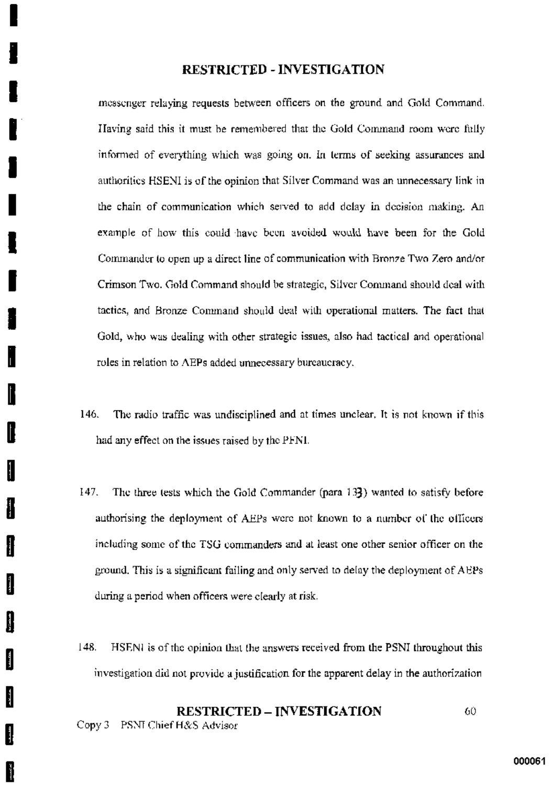messenger relaving requests between officers on the ground and Gold Command. Having said this it must be remembered that the Gold Command room were fully informed of everything which was going on. In terms of seeking assurances and authorities HSENI is of the opinion that Silver Command was an unnecessary link in the chain of communication which served to add delay in decision making. An example of how this could have been avoided would have been for the Gold Commander to open up a direct line of communication with Bronze Two Zero and/or Crimson Two. Gold Command should be strategic, Silver Command should deal with tactics, and Bronze Command should deal with operational matters. The fact that Gold, who was dealing with other strategic issues, also had tactical and operational roles in relation to AEPs added unnecessary bureaucracy.

- 146. The radio traffic was undisciplined and at times unclear. It is not known if this had any effect on the issues raised by the PFNI.
- 147. The three tests which the Gold Commander (para 133) wanted to satisfy before authorising the deployment of AEPs were not known to a number of the officers including some of the TSG commanders and at least one other senior officer on the ground. This is a significant failing and only served to delay the deployment of AEPs during a period when officers were clearly at risk.
- $148.$ HSENI is of the opinion that the answers received from the PSNI throughout this investigation did not provide a justification for the apparent delay in the authorization

### **RESTRICTED - INVESTIGATION** 60

Copy 3 PSNT Chief H&S Advisor

N

Ĵ.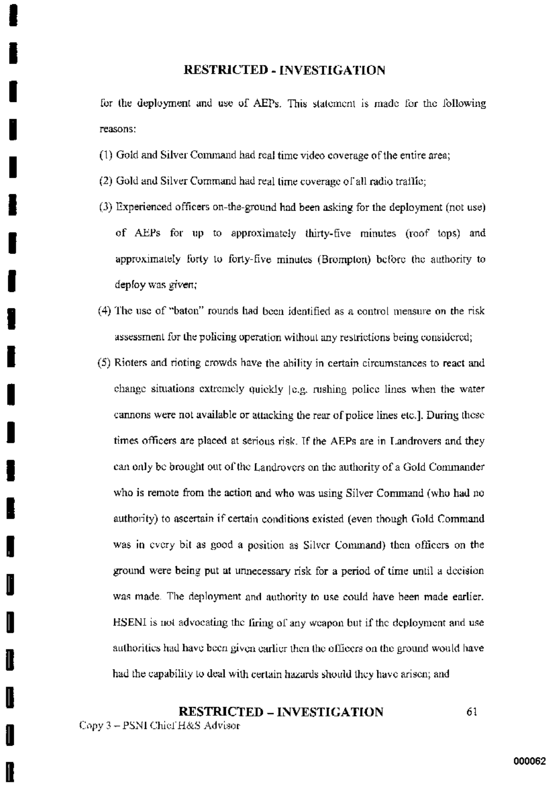for the deployment and use of AEPs. This statement is made for the following reasons:

- (1) Gold and Silver Command had real time video coverage of the entire area;
- (2) Gold and Silver Command had real time coverage of all radio traffic;
- (3) Experienced officers on-the-ground had been asking for the deployment (not use) of AEPs for up to approximately thirty-five minutes (roof tops) and approximately forty to forty-five minutes (Brompton) before the authority to deploy was given:
- (4) The use of "baton" rounds had been identified as a control measure on the risk assessment for the policing operation without any restrictions being considered:
- (5) Rioters and rioting crowds have the ability in certain circumstances to react and change situations extremely quickly [e.g. rushing police lines when the water cannons were not available or attacking the rear of police lines etc.]. During these times officers are placed at serious risk. If the AEPs are in Landrovers and they can only be brought out of the Landrovers on the authority of a Gold Commander who is remote from the action and who was using Silver Command (who had no authority) to ascertain if certain conditions existed (even though Gold Commandwas in every bit as good a position as Silver Command) then officers on the ground were being put at unnecessary risk for a period of time until a decision was made. The deployment and authority to use could have been made earlier. HSENI is not advocating the firing of any weapon but if the deployment and use authorities had have been given earlier then the officers on the ground would have had the capability to deal with certain hazards should they have arisen; and

### **RESTRICTED - INVESTIGATION** 61

Copy 3 - PSNI Chief H&S Advisor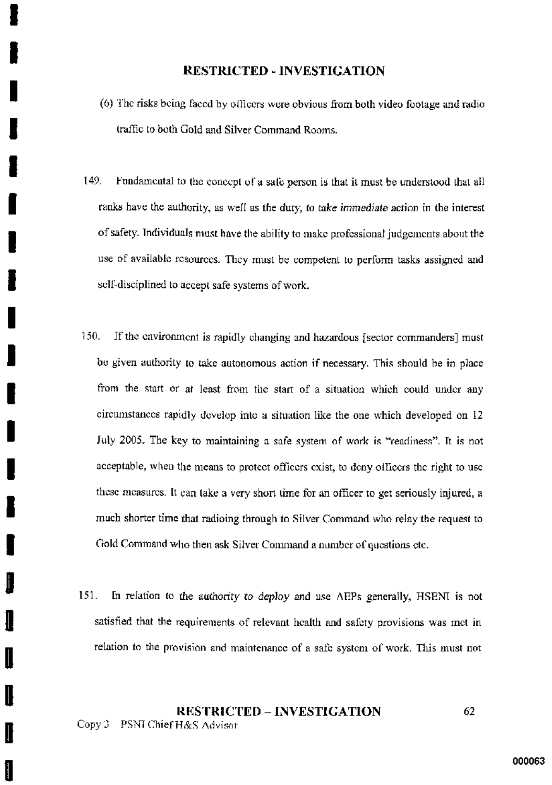- (6) The risks being faced by officers were obvious from both video footage and radio traffic to both Gold and Silver Command Rooms.
- 149. Fundamental to the concept of a safe person is that it must be understood that all ranks have the authority, as well as the duty, to take immediate action in the interest of safety. Individuals must have the ability to make professional judgements about the use of available resources. They must be competent to perform tasks assigned and self-disciplined to accept safe systems of work.
- 150. If the environment is rapidly changing and hazardous (sector commanders) must be given authority to take autonomous action if necessary. This should be in place from the start or at least from the start of a situation which could under any circumstances rapidly develop into a situation like the one which developed on 12 July 2005. The key to maintaining a safe system of work is "readiness". It is not acceptable, when the means to protect officers exist, to deny officers the right to use these measures. It can take a very short time for an officer to get seriously injured, a much shorter time that radioing through to Silver Command who relay the request to Gold Command who then ask Silver Command a number of questions etc.
- 151. In relation to the authority to deploy and use AEPs generally, HSENI is not satisfied that the requirements of relevant health and safety provisions was met in relation to the provision and maintenance of a safe system of work. This must not

### **RESTRICTED – INVESTIGATION** 62

Copy 3 PSNI Chief H&S Advisor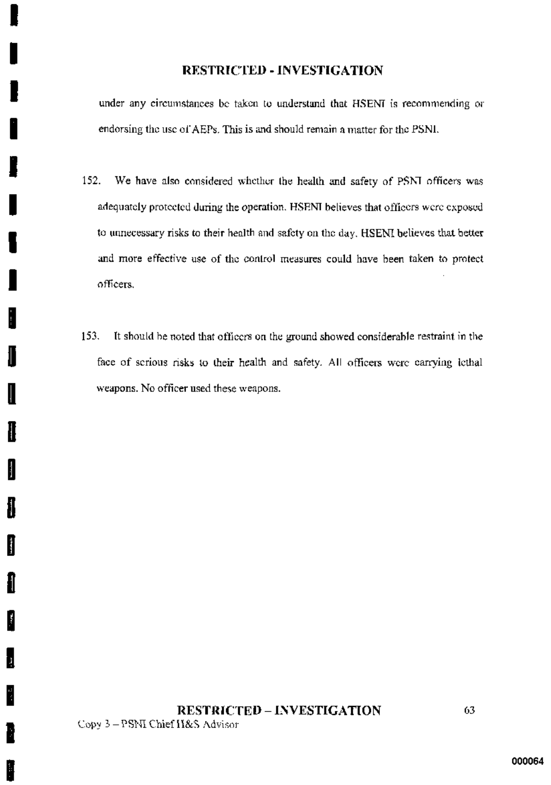under any circumstances be taken to understand that HSENI is recommending or endorsing the use of AEPs. This is and should remain a matter for the PSNI.

- 152. We have also considered whether the health and safety of PSNI officers was adequately protected during the operation. HSENI believes that officers were exposed to unnecessary risks to their health and safety on the day, HSENI believes that better and more effective use of the control measures could have been taken to protect officers.
- $153.$ It should be noted that officers on the ground showed considerable restraint in the face of scrious risks to their health and safety. All officers were carrying icthal weapons. No officer used these weapons.

H

ł

H

ł

B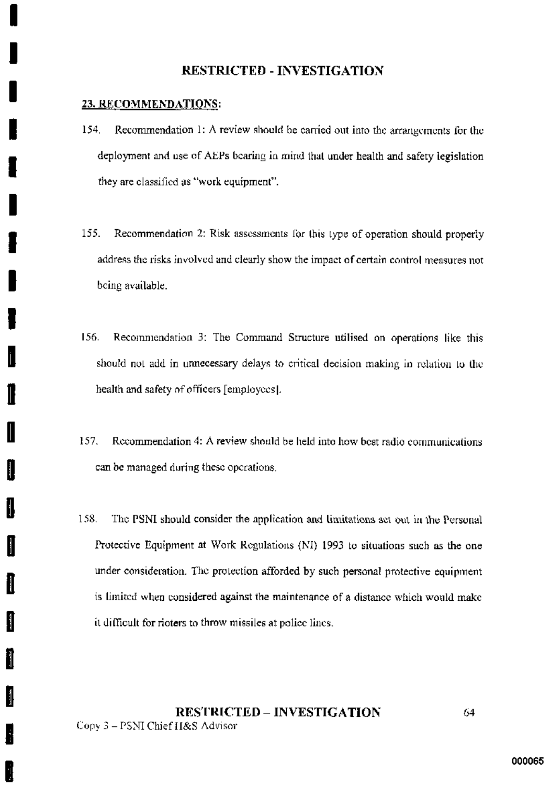## 23. RECOMMENDATIONS:

- 154. Recommendation 1: A review should be carried out into the arrangements for the deployment and use of AEPs bearing in mind that under health and safety legislation they are classified as "work equipment".
- 155. Recommendation 2: Risk assessments for this type of operation should properly address the risks involved and clearly show the impact of certain control measures not being available.
- 156. Recommendation 3: The Command Structure utilised on operations like this should not add in unnecessary delays to critical decision making in relation to the health and safety of officers [employees].
- Recommendation 4: A review should be held into how best radio communications 157. can be managed during these operations.
- 158. The PSNI should consider the application and limitations set out in the Personal Protective Equipment at Work Regulations (NI) 1993 to situations such as the one under consideration. The protection afforded by such personal protective equipment is limited when considered against the maintenance of a distance which would make it difficult for rioters to throw missiles at police lines.

### **RESTRICTED - INVESTIGATION**  $64$ Copy 3 - PSNI Chief H&S Advisor

Ħ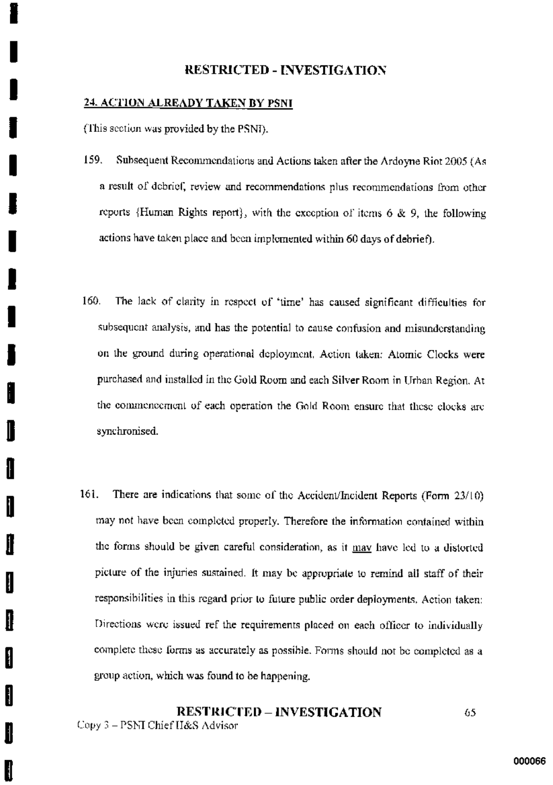### 24. ACTION ALREADY TAKEN BY PSNI

(This section was provided by the PSNI).

Ħ

- 159. Subsequent Recommendations and Actions taken after the Ardoyne Riot 2005 (As a result of debrief, review and recommendations plus recommendations from other reports (Human Rights report), with the execption of items  $6 \& 9$ , the following actions have taken place and been implemented within 60 days of debrief).
- 160. The lack of clarity in respect of 'time' has caused significant difficulties for subsequent analysis, and has the potential to cause confusion and misunderstanding on the ground during operational deployment. Action taken: Atomic Clocks were purchased and installed in the Gold Room and each Silver Room in Urban Region. At the commencement of each operation the Gold Room ensure that these clocks are synchronised.
- 161. There are indications that some of the Accident/Incident Reports (Form 23/10) may not have been completed properly. Therefore the information contained within the forms should be given careful consideration, as it may have led to a distorted picture of the injuries sustained. It may be appropriate to remind all staff of their responsibilities in this regard prior to future public order deployments. Action taken: Directions were issued ref the requirements placed on each officer to individually complete these forms as accurately as possible. Forms should not be completed as a group action, which was found to be happening.

### **RESTRICTED - INVESTIGATION** 65 Copy 3 – PSNI Chief H&S Advisor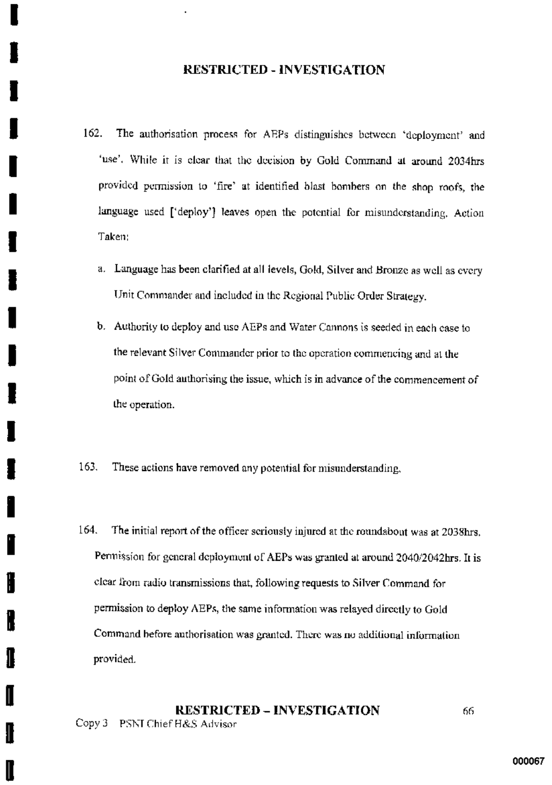- 162. The authorisation process for AEPs distinguishes between 'deployment' and 'use'. While it is clear that the decision by Gold Command at around 2034hrs provided permission to 'fire' at identified blast bombers on the shop roofs, the language used ['deploy'] leaves open the potential for misunderstanding. Action Taken:
	- a. Language has been clarified at all levels, Gold, Silver and Bronze as well as every Unit Commander and included in the Regional Public Order Strategy.
	- b. Authority to deploy and use AEPs and Water Cannons is seeded in each case to the relevant Silver Commander prior to the operation commencing and at the point of Gold authorising the issue, which is in advance of the commencement of the operation.
- 163. These actions have removed any potential for misunderstanding,
- 164. The initial report of the officer scriously injured at the roundabout was at 2038hrs. Permission for general deployment of AEPs was granted at around 2040/2042hrs. It is clear from radio transmissions that, following requests to Silver Command for permission to deploy AEPs, the same information was relayed directly to Gold Command before authorisation was granted. There was no additional information provided.

#### **RESTRICTED – INVESTIGATION** 66 Copy 3 PSNI Chief H&S Advisor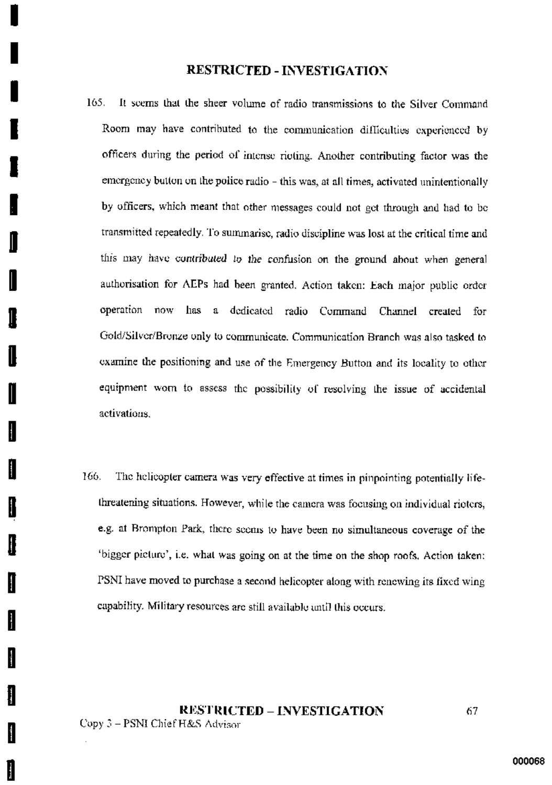- 165. It seems that the sheer volume of radio transmissions to the Silver Command Room may have contributed to the communication difficulties experienced by officers during the period of intense rioting. Another contributing factor was the emergency button on the police radio - this was, at all times, activated unintentionally by officers, which meant that other messages could not get through and had to be transmitted repeatedly. To summarise, radio discipline was lost at the critical time and this may have contributed to the confusion on the ground about when general authorisation for AEPs had been granted. Action taken: Each major public order operation now has a dedicated radio Command Channel created for Gold/Silver/Bronze only to communicate. Communication Branch was also tasked to examine the positioning and use of the Emergency Button and its locality to other equipment wom to assess the possibility of resolving the issue of accidental activations.
- 166. The helicopter camera was very effective at times in pinpointing potentially lifethreatening situations. However, while the camera was focusing on individual rioters, e.g. at Brompton Park, there seems to have been no simultaneous coverage of the 'bigger picture', i.e. what was going on at the time on the shop roofs. Action taken: PSNI have moved to purchase a second helicopter along with renewing its fixed wing capability. Military resources are still available until this occurs.

**RESTRICTED – INVESTIGATION** Copy 3 - PSNI Chief H&S Advisor

H

H

ł

67.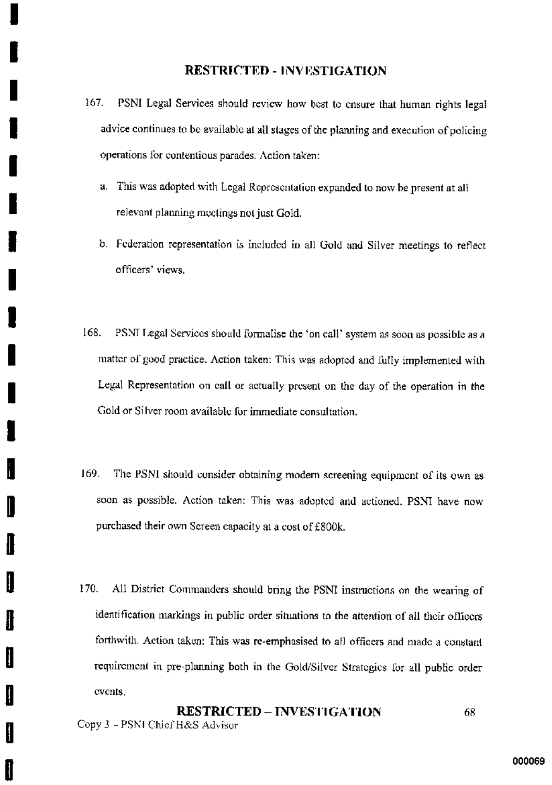- PSNI Legal Services should review how best to ensure that human rights legal 167. advice continues to be available at all stages of the planning and execution of policing operations for contentious parades. Action taken:
	- a. This was adopted with Legal Representation expanded to now be present at all relevant planning meetings not just Gold.
	- b. Federation representation is included in all Gold and Silver meetings to reflect officers' views.
- 168. PSNI Legal Services should formalise the 'on call' system as soon as possible as a matter of good practice. Action taken: This was adopted and fully implemented with Legal Representation on call or actually present on the day of the operation in the Gold or Silver room available for immediate consultation.
- 169. The PSNI should consider obtaining modern screening equipment of its own as soon as possible. Action taken: This was adopted and actioned. PSNI have now purchased their own Screen capacity at a cost of £800k.
- 170. All District Commanders should bring the PSNI instructions on the wearing of identification markings in public order situations to the attention of all their officers forthwith. Action taken: This was re-emphasised to all officers and made a constant requirement in pre-planning both in the Gold/Silver Strategies for all public order events.

**RESTRICTED - INVESTIGATION** 68 Copy 3 - PSNI Chief H&S Advisor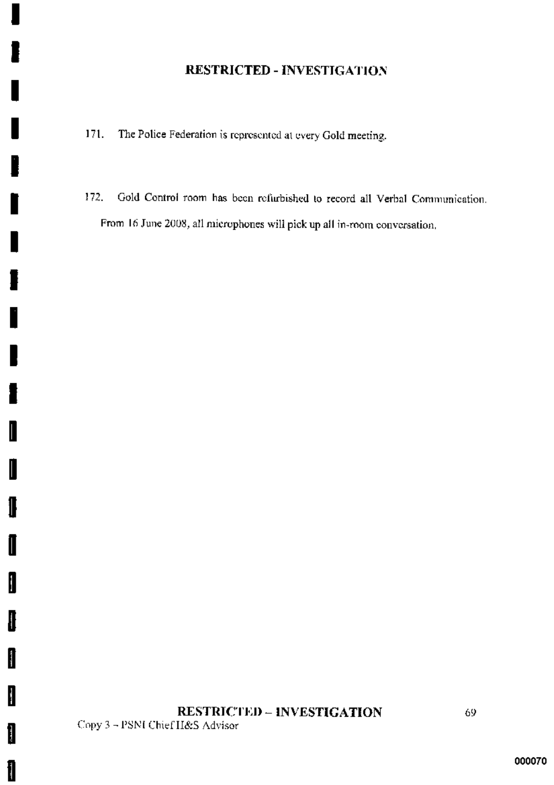- $171.$ The Police Federation is represented at every Gold meeting.
- Gold Control room has been refurbished to record all Verbal Communication. 172. From 16 June 2008, all microphones will pick up all in-room conversation.

# **RESTRICTED - INVESTIGATION** Copy 3 - PSNI Chief H&S Advisor

I

I

1

I

I

I

1

1

1